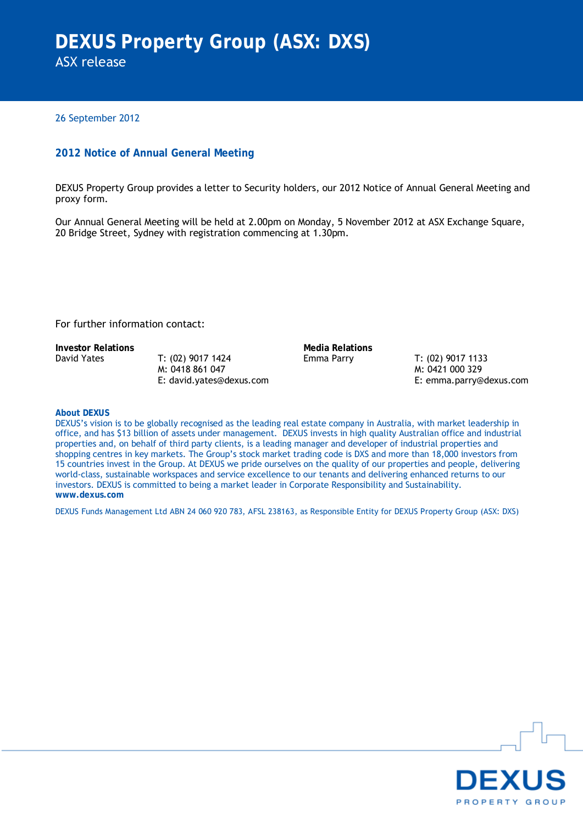26 September 2012

# **2012 Notice of Annual General Meeting**

DEXUS Property Group provides a letter to Security holders, our 2012 Notice of Annual General Meeting and proxy form.

Our Annual General Meeting will be held at 2.00pm on Monday, 5 November 2012 at ASX Exchange Square, 20 Bridge Street, Sydney with registration commencing at 1.30pm.

For further information contact:

**Investor Relations**<br> **David Yates**<br> **I. (02) 9017 1424**<br> **I. Emma Parry** 

T: (02) 9017 1424 M: 0418 861 047 E: david.yates@dexus.com

Emma Parry T: (02) 9017 1133 M: 0421 000 329 E: emma.parry@dexus.com

# **About DEXUS**

DEXUS's vision is to be globally recognised as the leading real estate company in Australia, with market leadership in office, and has \$13 billion of assets under management. DEXUS invests in high quality Australian office and industrial properties and, on behalf of third party clients, is a leading manager and developer of industrial properties and shopping centres in key markets. The Group's stock market trading code is DXS and more than 18,000 investors from 15 countries invest in the Group. At DEXUS we pride ourselves on the quality of our properties and people, delivering world-class, sustainable workspaces and service excellence to our tenants and delivering enhanced returns to our investors. DEXUS is committed to being a market leader in Corporate Responsibility and Sustainability. **www.dexus.com**

DEXUS Funds Management Ltd ABN 24 060 920 783, AFSL 238163, as Responsible Entity for DEXUS Property Group (ASX: DXS)

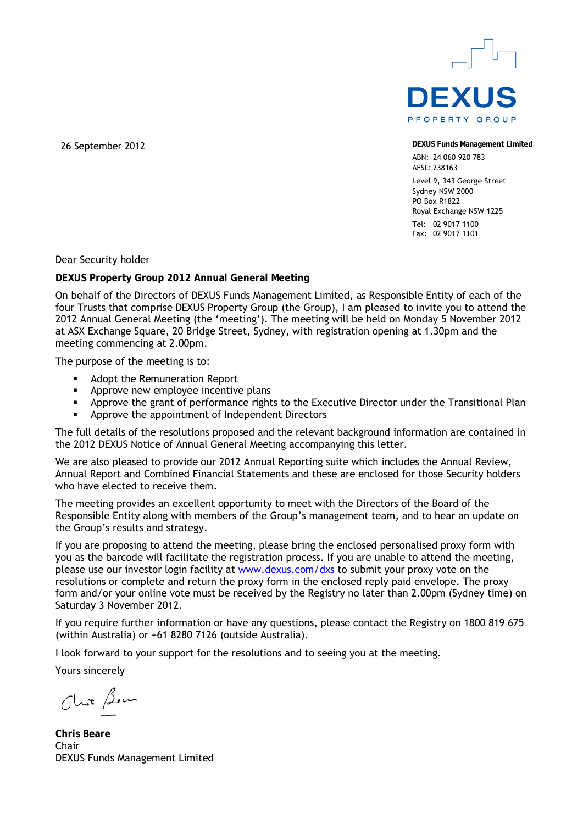

26 September 2012 **DEXUS Funds Management Limited**

ABN: 24 060 920 783 AFSL: 238163 Level 9, 343 George Street Sydney NSW 2000 PO Box R1822 Royal Exchange NSW 1225  $Tel: 0290171100$ Fax: 02 9017 1101

Dear Security holder

**DEXUS Property Group 2012 Annual General Meeting** 

On behalf of the Directors of DEXUS Funds Management Limited, as Responsible Entity of each of the four Trusts that comprise DEXUS Property Group (the Group), I am pleased to invite you to attend the 2012 Annual General Meeting (the 'meeting'). The meeting will be held on Monday 5 November 2012 at ASX Exchange Square, 20 Bridge Street, Sydney, with registration opening at 1.30pm and the meeting commencing at 2.00pm.

The purpose of the meeting is to:

- **Adopt the Remuneration Report**
- Approve new employee incentive plans<br>• Approve the grant of performance right
- Approve the grant of performance rights to the Executive Director under the Transitional Plan
- **EXECUTE:** Approve the appointment of Independent Directors

The full details of the resolutions proposed and the relevant background information are contained in the 2012 DEXUS Notice of Annual General Meeting accompanying this letter.

We are also pleased to provide our 2012 Annual Reporting suite which includes the Annual Review, Annual Report and Combined Financial Statements and these are enclosed for those Security holders who have elected to receive them.

The meeting provides an excellent opportunity to meet with the Directors of the Board of the Responsible Entity along with members of the Group's management team, and to hear an update on the Group's results and strategy.

If you are proposing to attend the meeting, please bring the enclosed personalised proxy form with you as the barcode will facilitate the registration process. If you are unable to attend the meeting, please use our investor login facility at [www.dexus.com/dxs](http://www.dexus.com/dxs) to submit your proxy vote on the resolutions or complete and return the proxy form in the enclosed reply paid envelope. The proxy form and/or your online vote must be received by the Registry no later than 2.00pm (Sydney time) on Saturday 3 November 2012.

If you require further information or have any questions, please contact the Registry on 1800 819 675 (within Australia) or +61 8280 7126 (outside Australia).

I look forward to your support for the resolutions and to seeing you at the meeting.

Yours sincerely

Chit Bem

**Chris Beare**  Chair DEXUS Funds Management Limited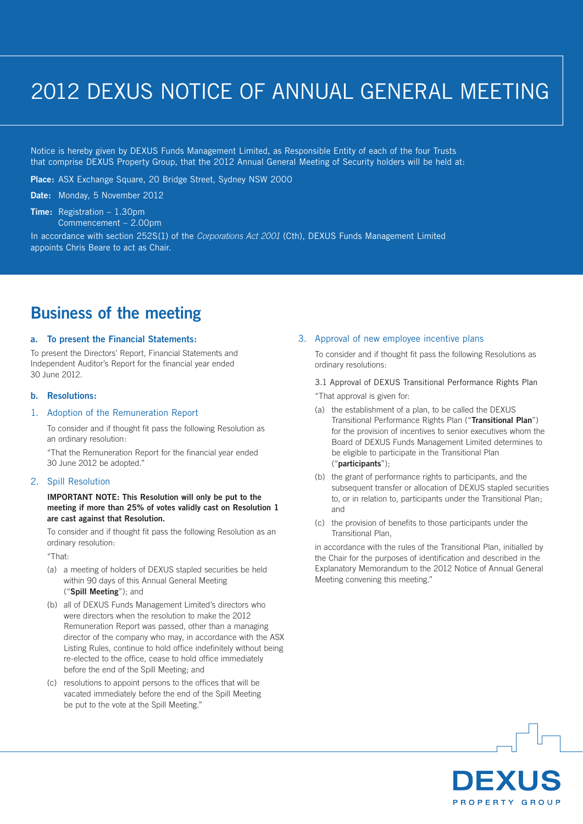# 2012 DEXUS NOTICE OF ANNUAL GENERAL MEETING

Notice is hereby given by DEXUS Funds Management Limited, as Responsible Entity of each of the four Trusts that comprise DEXUS Property Group, that the 2012 Annual General Meeting of Security holders will be held at:

**Place:** ASX Exchange Square, 20 Bridge Street, Sydney NSW 2000

**Date:** Monday, 5 November 2012

# **Time:** Registration – 1.30pm

Commencement – 2.00pm

In accordance with section 252S(1) of the *Corporations Act 2001* (Cth), DEXUS Funds Management Limited appoints Chris Beare to act as Chair.

# **Business of the meeting**

### **a. To present the Financial Statements:**

To present the Directors' Report, Financial Statements and Independent Auditor's Report for the financial year ended 30 June 2012.

# **b. Resolutions:**

# 1. Adoption of the Remuneration Report

To consider and if thought fit pass the following Resolution as an ordinary resolution:

"That the Remuneration Report for the financial year ended 30 June 2012 be adopted."

# 2. Spill Resolution

# **IMPORTANT NOTE: This Resolution will only be put to the meeting if more than 25% of votes validly cast on Resolution 1 are cast against that Resolution.**

To consider and if thought fit pass the following Resolution as an ordinary resolution:

"That:

- (a) a meeting of holders of DEXUS stapled securities be held within 90 days of this Annual General Meeting ("**Spill Meeting**"); and
- (b) all of DEXUS Funds Management Limited's directors who were directors when the resolution to make the 2012 Remuneration Report was passed, other than a managing director of the company who may, in accordance with the ASX Listing Rules, continue to hold office indefinitely without being re-elected to the office, cease to hold office immediately before the end of the Spill Meeting; and
- (c) resolutions to appoint persons to the offices that will be vacated immediately before the end of the Spill Meeting be put to the vote at the Spill Meeting."

# 3. Approval of new employee incentive plans

To consider and if thought fit pass the following Resolutions as ordinary resolutions:

3.1 Approval of DEXUS Transitional Performance Rights Plan "That approval is given for:

- (a) the establishment of a plan, to be called the DEXUS Transitional Performance Rights Plan ("**Transitional Plan**") for the provision of incentives to senior executives whom the Board of DEXUS Funds Management Limited determines to be eligible to participate in the Transitional Plan ("**participants**");
- (b) the grant of performance rights to participants, and the subsequent transfer or allocation of DEXUS stapled securities to, or in relation to, participants under the Transitional Plan; and
- (c) the provision of benefits to those participants under the Transitional Plan,

in accordance with the rules of the Transitional Plan, initialled by the Chair for the purposes of identification and described in the Explanatory Memorandum to the 2012 Notice of Annual General Meeting convening this meeting."

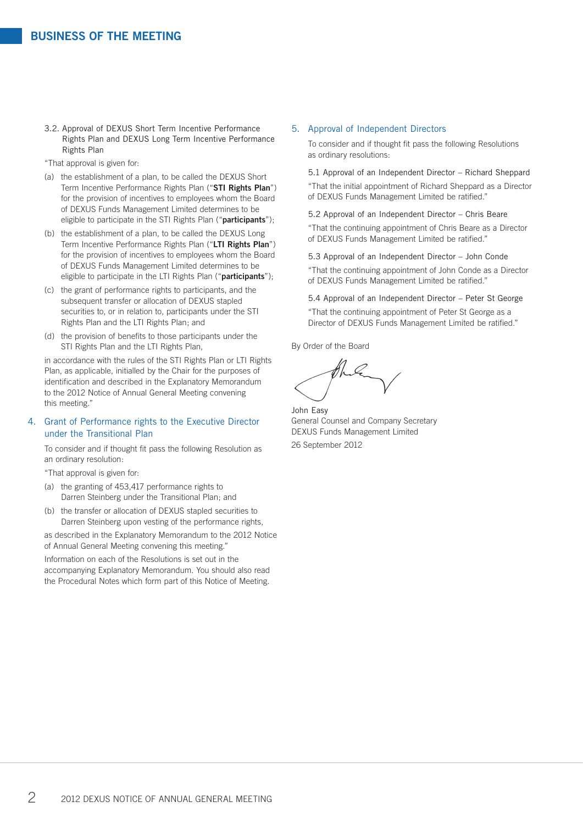3.2. Approval of DEXUS Short Term Incentive Performance Rights Plan and DEXUS Long Term Incentive Performance Rights Plan

"That approval is given for:

- (a) the establishment of a plan, to be called the DEXUS Short Term Incentive Performance Rights Plan ("**STI Rights Plan**") for the provision of incentives to employees whom the Board of DEXUS Funds Management Limited determines to be eligible to participate in the STI Rights Plan ("**participants**");
- (b) the establishment of a plan, to be called the DEXUS Long Term Incentive Performance Rights Plan ("**LTI Rights Plan**") for the provision of incentives to employees whom the Board of DEXUS Funds Management Limited determines to be eligible to participate in the LTI Rights Plan ("**participants**");
- (c) the grant of performance rights to participants, and the subsequent transfer or allocation of DEXUS stapled securities to, or in relation to, participants under the STI Rights Plan and the LTI Rights Plan; and
- (d) the provision of benefits to those participants under the STI Rights Plan and the LTI Rights Plan,

in accordance with the rules of the STI Rights Plan or LTI Rights Plan, as applicable, initialled by the Chair for the purposes of identification and described in the Explanatory Memorandum to the 2012 Notice of Annual General Meeting convening this meeting."

# 4. Grant of Performance rights to the Executive Director under the Transitional Plan

To consider and if thought fit pass the following Resolution as an ordinary resolution:

"That approval is given for:

- (a) the granting of 453,417 performance rights to Darren Steinberg under the Transitional Plan; and
- (b) the transfer or allocation of DEXUS stapled securities to Darren Steinberg upon vesting of the performance rights,

as described in the Explanatory Memorandum to the 2012 Notice of Annual General Meeting convening this meeting."

Information on each of the Resolutions is set out in the accompanying Explanatory Memorandum. You should also read the Procedural Notes which form part of this Notice of Meeting.

#### 5. Approval of Independent Directors

To consider and if thought fit pass the following Resolutions as ordinary resolutions:

5.1 Approval of an Independent Director – Richard Sheppard "That the initial appointment of Richard Sheppard as a Director of DEXUS Funds Management Limited be ratified."

5.2 Approval of an Independent Director – Chris Beare "That the continuing appointment of Chris Beare as a Director of DEXUS Funds Management Limited be ratified."

5.3 Approval of an Independent Director – John Conde "That the continuing appointment of John Conde as a Director of DEXUS Funds Management Limited be ratified."

5.4 Approval of an Independent Director – Peter St George "That the continuing appointment of Peter St George as a Director of DEXUS Funds Management Limited be ratified."

By Order of the Board

John Easy General Counsel and Company Secretary DEXUS Funds Management Limited 26 September 2012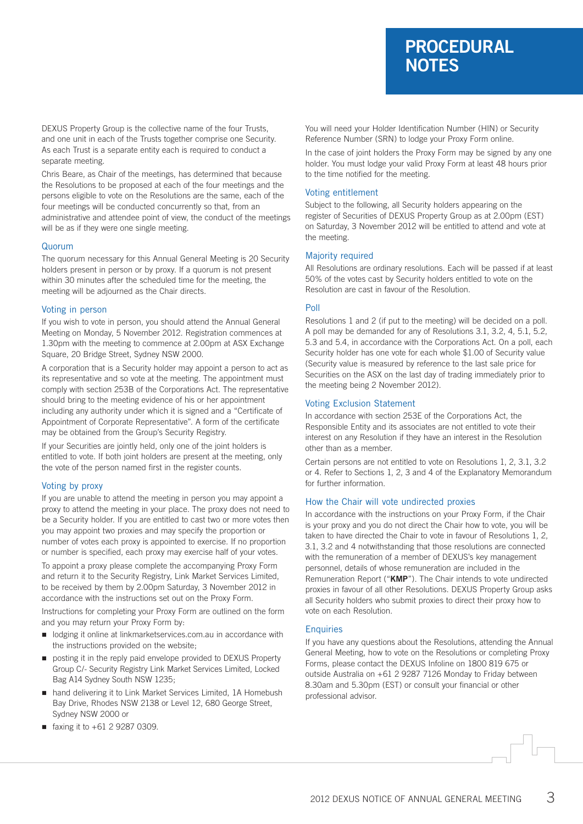# **PROCEDURAL NOTES**

DEXUS Property Group is the collective name of the four Trusts, and one unit in each of the Trusts together comprise one Security. As each Trust is a separate entity each is required to conduct a separate meeting.

Chris Beare, as Chair of the meetings, has determined that because the Resolutions to be proposed at each of the four meetings and the persons eligible to vote on the Resolutions are the same, each of the four meetings will be conducted concurrently so that, from an administrative and attendee point of view, the conduct of the meetings will be as if they were one single meeting.

### Quorum

The quorum necessary for this Annual General Meeting is 20 Security holders present in person or by proxy. If a quorum is not present within 30 minutes after the scheduled time for the meeting, the meeting will be adjourned as the Chair directs.

#### Voting in person

If you wish to vote in person, you should attend the Annual General Meeting on Monday, 5 November 2012. Registration commences at 1.30pm with the meeting to commence at 2.00pm at ASX Exchange Square, 20 Bridge Street, Sydney NSW 2000.

A corporation that is a Security holder may appoint a person to act as its representative and so vote at the meeting. The appointment must comply with section 253B of the Corporations Act. The representative should bring to the meeting evidence of his or her appointment including any authority under which it is signed and a "Certificate of Appointment of Corporate Representative". A form of the certificate may be obtained from the Group's Security Registry.

If your Securities are jointly held, only one of the joint holders is entitled to vote. If both joint holders are present at the meeting, only the vote of the person named first in the register counts.

# Voting by proxy

If you are unable to attend the meeting in person you may appoint a proxy to attend the meeting in your place. The proxy does not need to be a Security holder. If you are entitled to cast two or more votes then you may appoint two proxies and may specify the proportion or number of votes each proxy is appointed to exercise. If no proportion or number is specified, each proxy may exercise half of your votes.

To appoint a proxy please complete the accompanying Proxy Form and return it to the Security Registry, Link Market Services Limited, to be received by them by 2.00pm Saturday, 3 November 2012 in accordance with the instructions set out on the Proxy Form.

Instructions for completing your Proxy Form are outlined on the form and you may return your Proxy Form by:

- $\blacksquare$  lodging it online at linkmarketservices.com.au in accordance with the instructions provided on the website;
- n posting it in the reply paid envelope provided to DEXUS Property Group C/- Security Registry Link Market Services Limited, Locked Bag A14 Sydney South NSW 1235;
- hand delivering it to Link Market Services Limited, 1A Homebush Bay Drive, Rhodes NSW 2138 or Level 12, 680 George Street, Sydney NSW 2000 or
- faxing it to  $+61$  2 9287 0309.

You will need your Holder Identification Number (HIN) or Security Reference Number (SRN) to lodge your Proxy Form online.

In the case of joint holders the Proxy Form may be signed by any one holder. You must lodge your valid Proxy Form at least 48 hours prior to the time notified for the meeting.

# Voting entitlement

Subject to the following, all Security holders appearing on the register of Securities of DEXUS Property Group as at 2.00pm (EST) on Saturday, 3 November 2012 will be entitled to attend and vote at the meeting.

### Majority required

All Resolutions are ordinary resolutions. Each will be passed if at least 50% of the votes cast by Security holders entitled to vote on the Resolution are cast in favour of the Resolution.

### Poll

Resolutions 1 and 2 (if put to the meeting) will be decided on a poll. A poll may be demanded for any of Resolutions 3.1, 3.2, 4, 5.1, 5.2, 5.3 and 5.4, in accordance with the Corporations Act. On a poll, each Security holder has one vote for each whole \$1.00 of Security value (Security value is measured by reference to the last sale price for Securities on the ASX on the last day of trading immediately prior to the meeting being 2 November 2012).

# Voting Exclusion Statement

In accordance with section 253E of the Corporations Act, the Responsible Entity and its associates are not entitled to vote their interest on any Resolution if they have an interest in the Resolution other than as a member.

Certain persons are not entitled to vote on Resolutions 1, 2, 3.1, 3.2 or 4. Refer to Sections 1, 2, 3 and 4 of the Explanatory Memorandum for further information.

# How the Chair will vote undirected proxies

In accordance with the instructions on your Proxy Form, if the Chair is your proxy and you do not direct the Chair how to vote, you will be taken to have directed the Chair to vote in favour of Resolutions 1, 2, 3.1, 3.2 and 4 notwithstanding that those resolutions are connected with the remuneration of a member of DEXUS's key management personnel, details of whose remuneration are included in the Remuneration Report ("**KMP**"). The Chair intends to vote undirected proxies in favour of all other Resolutions. DEXUS Property Group asks all Security holders who submit proxies to direct their proxy how to vote on each Resolution.

### **Enquiries**

If you have any questions about the Resolutions, attending the Annual General Meeting, how to vote on the Resolutions or completing Proxy Forms, please contact the DEXUS Infoline on 1800 819 675 or outside Australia on +61 2 9287 7126 Monday to Friday between 8.30am and 5.30pm (EST) or consult your financial or other professional advisor.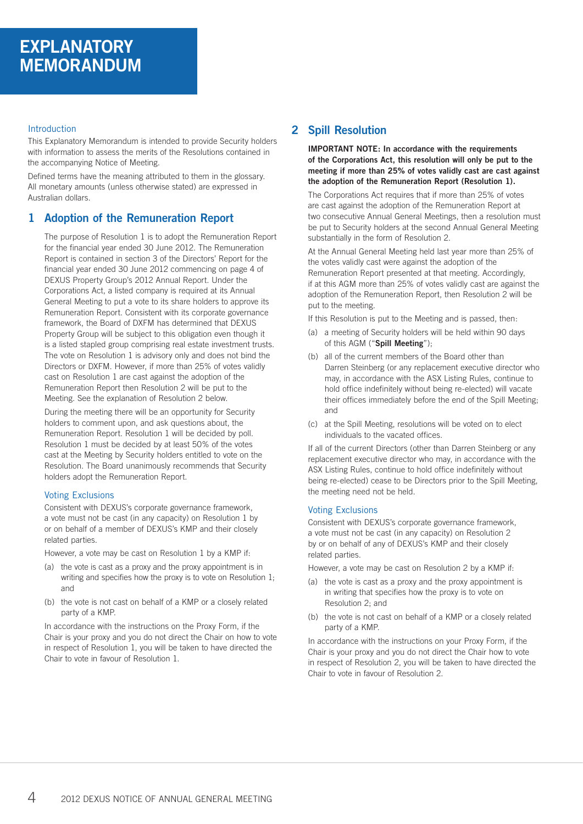# Introduction

This Explanatory Memorandum is intended to provide Security holders with information to assess the merits of the Resolutions contained in the accompanying Notice of Meeting.

Defined terms have the meaning attributed to them in the glossary. All monetary amounts (unless otherwise stated) are expressed in Australian dollars.

# **1 Adoption of the Remuneration Report**

The purpose of Resolution 1 is to adopt the Remuneration Report for the financial year ended 30 June 2012. The Remuneration Report is contained in section 3 of the Directors' Report for the financial year ended 30 June 2012 commencing on page 4 of DEXUS Property Group's 2012 Annual Report. Under the Corporations Act, a listed company is required at its Annual General Meeting to put a vote to its share holders to approve its Remuneration Report. Consistent with its corporate governance framework, the Board of DXFM has determined that DEXUS Property Group will be subject to this obligation even though it is a listed stapled group comprising real estate investment trusts. The vote on Resolution 1 is advisory only and does not bind the Directors or DXFM. However, if more than 25% of votes validly cast on Resolution 1 are cast against the adoption of the Remuneration Report then Resolution 2 will be put to the Meeting. See the explanation of Resolution 2 below.

During the meeting there will be an opportunity for Security holders to comment upon, and ask questions about, the Remuneration Report. Resolution 1 will be decided by poll. Resolution 1 must be decided by at least 50% of the votes cast at the Meeting by Security holders entitled to vote on the Resolution. The Board unanimously recommends that Security holders adopt the Remuneration Report.

# Voting Exclusions

Consistent with DEXUS's corporate governance framework, a vote must not be cast (in any capacity) on Resolution 1 by or on behalf of a member of DEXUS's KMP and their closely related parties.

However, a vote may be cast on Resolution 1 by a KMP if:

- (a) the vote is cast as a proxy and the proxy appointment is in writing and specifies how the proxy is to vote on Resolution 1; and
- (b) the vote is not cast on behalf of a KMP or a closely related party of a KMP.

In accordance with the instructions on the Proxy Form, if the Chair is your proxy and you do not direct the Chair on how to vote in respect of Resolution 1, you will be taken to have directed the Chair to vote in favour of Resolution 1.

# **2 Spill Resolution**

**IMPORTANT NOTE: In accordance with the requirements of the Corporations Act, this resolution will only be put to the meeting if more than 25% of votes validly cast are cast against the adoption of the Remuneration Report (Resolution 1).**

The Corporations Act requires that if more than 25% of votes are cast against the adoption of the Remuneration Report at two consecutive Annual General Meetings, then a resolution must be put to Security holders at the second Annual General Meeting substantially in the form of Resolution 2.

At the Annual General Meeting held last year more than 25% of the votes validly cast were against the adoption of the Remuneration Report presented at that meeting. Accordingly, if at this AGM more than 25% of votes validly cast are against the adoption of the Remuneration Report, then Resolution 2 will be put to the meeting.

If this Resolution is put to the Meeting and is passed, then:

- (a) a meeting of Security holders will be held within 90 days of this AGM ("**Spill Meeting**");
- (b) all of the current members of the Board other than Darren Steinberg (or any replacement executive director who may, in accordance with the ASX Listing Rules, continue to hold office indefinitely without being re-elected) will vacate their offices immediately before the end of the Spill Meeting; and
- (c) at the Spill Meeting, resolutions will be voted on to elect individuals to the vacated offices.

If all of the current Directors (other than Darren Steinberg or any replacement executive director who may, in accordance with the ASX Listing Rules, continue to hold office indefinitely without being re-elected) cease to be Directors prior to the Spill Meeting, the meeting need not be held.

### Voting Exclusions

Consistent with DEXUS's corporate governance framework, a vote must not be cast (in any capacity) on Resolution 2 by or on behalf of any of DEXUS's KMP and their closely related parties.

However, a vote may be cast on Resolution 2 by a KMP if:

- (a) the vote is cast as a proxy and the proxy appointment is in writing that specifies how the proxy is to vote on Resolution 2; and
- (b) the vote is not cast on behalf of a KMP or a closely related party of a KMP.

In accordance with the instructions on your Proxy Form, if the Chair is your proxy and you do not direct the Chair how to vote in respect of Resolution 2, you will be taken to have directed the Chair to vote in favour of Resolution 2.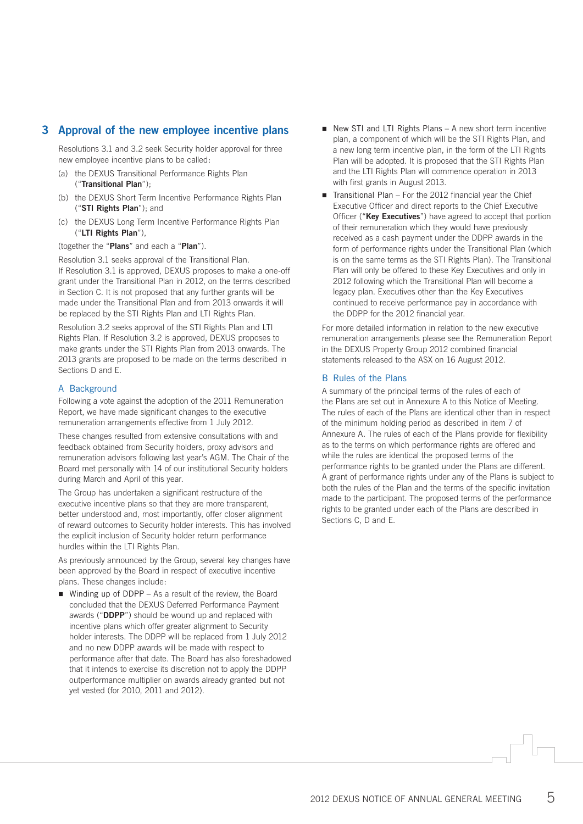# **3 Approval of the new employee incentive plans**

Resolutions 3.1 and 3.2 seek Security holder approval for three new employee incentive plans to be called:

- (a) the DEXUS Transitional Performance Rights Plan ("**Transitional Plan**");
- (b) the DEXUS Short Term Incentive Performance Rights Plan ("**STI Rights Plan**"); and
- (c) the DEXUS Long Term Incentive Performance Rights Plan ("**LTI Rights Plan**"),

(together the "**Plans**" and each a "**Plan**").

Resolution 3.1 seeks approval of the Transitional Plan. If Resolution 3.1 is approved, DEXUS proposes to make a one-off grant under the Transitional Plan in 2012, on the terms described in Section C. It is not proposed that any further grants will be made under the Transitional Plan and from 2013 onwards it will be replaced by the STI Rights Plan and LTI Rights Plan.

Resolution 3.2 seeks approval of the STI Rights Plan and LTI Rights Plan. If Resolution 3.2 is approved, DEXUS proposes to make grants under the STI Rights Plan from 2013 onwards. The 2013 grants are proposed to be made on the terms described in Sections D and E.

# A Background

Following a vote against the adoption of the 2011 Remuneration Report, we have made significant changes to the executive remuneration arrangements effective from 1 July 2012.

These changes resulted from extensive consultations with and feedback obtained from Security holders, proxy advisors and remuneration advisors following last year's AGM. The Chair of the Board met personally with 14 of our institutional Security holders during March and April of this year.

The Group has undertaken a significant restructure of the executive incentive plans so that they are more transparent, better understood and, most importantly, offer closer alignment of reward outcomes to Security holder interests. This has involved the explicit inclusion of Security holder return performance hurdles within the LTI Rights Plan.

As previously announced by the Group, several key changes have been approved by the Board in respect of executive incentive plans. These changes include:

 $\blacksquare$  Winding up of DDPP – As a result of the review, the Board concluded that the DEXUS Deferred Performance Payment awards ("**DDPP**") should be wound up and replaced with incentive plans which offer greater alignment to Security holder interests. The DDPP will be replaced from 1 July 2012 and no new DDPP awards will be made with respect to performance after that date. The Board has also foreshadowed that it intends to exercise its discretion not to apply the DDPP outperformance multiplier on awards already granted but not yet vested (for 2010, 2011 and 2012).

- $\blacksquare$  New STI and LTI Rights Plans A new short term incentive plan, a component of which will be the STI Rights Plan, and a new long term incentive plan, in the form of the LTI Rights Plan will be adopted. It is proposed that the STI Rights Plan and the LTI Rights Plan will commence operation in 2013 with first grants in August 2013.
- $\blacksquare$  Transitional Plan For the 2012 financial year the Chief Executive Officer and direct reports to the Chief Executive Officer ("**Key Executives**") have agreed to accept that portion of their remuneration which they would have previously received as a cash payment under the DDPP awards in the form of performance rights under the Transitional Plan (which is on the same terms as the STI Rights Plan). The Transitional Plan will only be offered to these Key Executives and only in 2012 following which the Transitional Plan will become a legacy plan. Executives other than the Key Executives continued to receive performance pay in accordance with the DDPP for the 2012 financial year.

For more detailed information in relation to the new executive remuneration arrangements please see the Remuneration Report in the DEXUS Property Group 2012 combined financial statements released to the ASX on 16 August 2012.

# B Rules of the Plans

A summary of the principal terms of the rules of each of the Plans are set out in Annexure A to this Notice of Meeting. The rules of each of the Plans are identical other than in respect of the minimum holding period as described in item 7 of Annexure A. The rules of each of the Plans provide for flexibility as to the terms on which performance rights are offered and while the rules are identical the proposed terms of the performance rights to be granted under the Plans are different. A grant of performance rights under any of the Plans is subject to both the rules of the Plan and the terms of the specific invitation made to the participant. The proposed terms of the performance rights to be granted under each of the Plans are described in Sections C, D and E.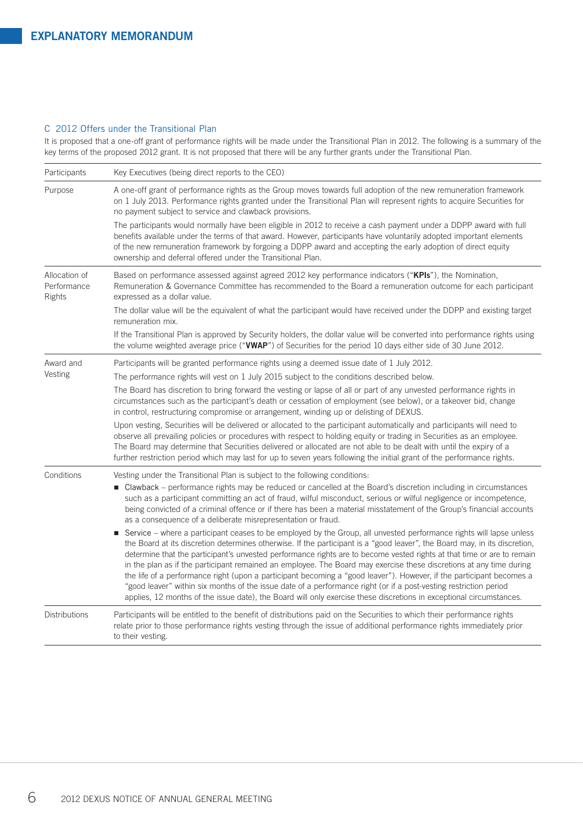# C 2012 Offers under the Transitional Plan

It is proposed that a one-off grant of performance rights will be made under the Transitional Plan in 2012. The following is a summary of the key terms of the proposed 2012 grant. It is not proposed that there will be any further grants under the Transitional Plan.

| Participants                           | Key Executives (being direct reports to the CEO)                                                                                                                                                                                                                                                                                                                                                                                                                                                                                                                                                                                                                                                                                                                                                                                                                         |
|----------------------------------------|--------------------------------------------------------------------------------------------------------------------------------------------------------------------------------------------------------------------------------------------------------------------------------------------------------------------------------------------------------------------------------------------------------------------------------------------------------------------------------------------------------------------------------------------------------------------------------------------------------------------------------------------------------------------------------------------------------------------------------------------------------------------------------------------------------------------------------------------------------------------------|
| Purpose                                | A one-off grant of performance rights as the Group moves towards full adoption of the new remuneration framework<br>on 1 July 2013. Performance rights granted under the Transitional Plan will represent rights to acquire Securities for<br>no payment subject to service and clawback provisions.                                                                                                                                                                                                                                                                                                                                                                                                                                                                                                                                                                     |
|                                        | The participants would normally have been eligible in 2012 to receive a cash payment under a DDPP award with full<br>benefits available under the terms of that award. However, participants have voluntarily adopted important elements<br>of the new remuneration framework by forgoing a DDPP award and accepting the early adoption of direct equity<br>ownership and deferral offered under the Transitional Plan.                                                                                                                                                                                                                                                                                                                                                                                                                                                  |
| Allocation of<br>Performance<br>Rights | Based on performance assessed against agreed 2012 key performance indicators ("KPIs"), the Nomination,<br>Remuneration & Governance Committee has recommended to the Board a remuneration outcome for each participant<br>expressed as a dollar value.                                                                                                                                                                                                                                                                                                                                                                                                                                                                                                                                                                                                                   |
|                                        | The dollar value will be the equivalent of what the participant would have received under the DDPP and existing target<br>remuneration mix.                                                                                                                                                                                                                                                                                                                                                                                                                                                                                                                                                                                                                                                                                                                              |
|                                        | If the Transitional Plan is approved by Security holders, the dollar value will be converted into performance rights using<br>the volume weighted average price ("VWAP") of Securities for the period 10 days either side of 30 June 2012.                                                                                                                                                                                                                                                                                                                                                                                                                                                                                                                                                                                                                               |
| Award and                              | Participants will be granted performance rights using a deemed issue date of 1 July 2012.                                                                                                                                                                                                                                                                                                                                                                                                                                                                                                                                                                                                                                                                                                                                                                                |
| Vesting                                | The performance rights will vest on 1 July 2015 subject to the conditions described below.                                                                                                                                                                                                                                                                                                                                                                                                                                                                                                                                                                                                                                                                                                                                                                               |
|                                        | The Board has discretion to bring forward the vesting or lapse of all or part of any unvested performance rights in<br>circumstances such as the participant's death or cessation of employment (see below), or a takeover bid, change<br>in control, restructuring compromise or arrangement, winding up or delisting of DEXUS.                                                                                                                                                                                                                                                                                                                                                                                                                                                                                                                                         |
|                                        | Upon vesting, Securities will be delivered or allocated to the participant automatically and participants will need to<br>observe all prevailing policies or procedures with respect to holding equity or trading in Securities as an employee.<br>The Board may determine that Securities delivered or allocated are not able to be dealt with until the expiry of a<br>further restriction period which may last for up to seven years following the initial grant of the performance rights.                                                                                                                                                                                                                                                                                                                                                                          |
| Conditions                             | Vesting under the Transitional Plan is subject to the following conditions:                                                                                                                                                                                                                                                                                                                                                                                                                                                                                                                                                                                                                                                                                                                                                                                              |
|                                        | ■ Clawback – performance rights may be reduced or cancelled at the Board's discretion including in circumstances<br>such as a participant committing an act of fraud, wilful misconduct, serious or wilful negligence or incompetence,<br>being convicted of a criminal offence or if there has been a material misstatement of the Group's financial accounts<br>as a consequence of a deliberate misrepresentation or fraud.                                                                                                                                                                                                                                                                                                                                                                                                                                           |
|                                        | ■ Service – where a participant ceases to be employed by the Group, all unvested performance rights will lapse unless<br>the Board at its discretion determines otherwise. If the participant is a "good leaver", the Board may, in its discretion,<br>determine that the participant's unvested performance rights are to become vested rights at that time or are to remain<br>in the plan as if the participant remained an employee. The Board may exercise these discretions at any time during<br>the life of a performance right (upon a participant becoming a "good leaver"). However, if the participant becomes a<br>"good leaver" within six months of the issue date of a performance right (or if a post-vesting restriction period<br>applies, 12 months of the issue date), the Board will only exercise these discretions in exceptional circumstances. |
| <b>Distributions</b>                   | Participants will be entitled to the benefit of distributions paid on the Securities to which their performance rights<br>relate prior to those performance rights vesting through the issue of additional performance rights immediately prior<br>to their vesting.                                                                                                                                                                                                                                                                                                                                                                                                                                                                                                                                                                                                     |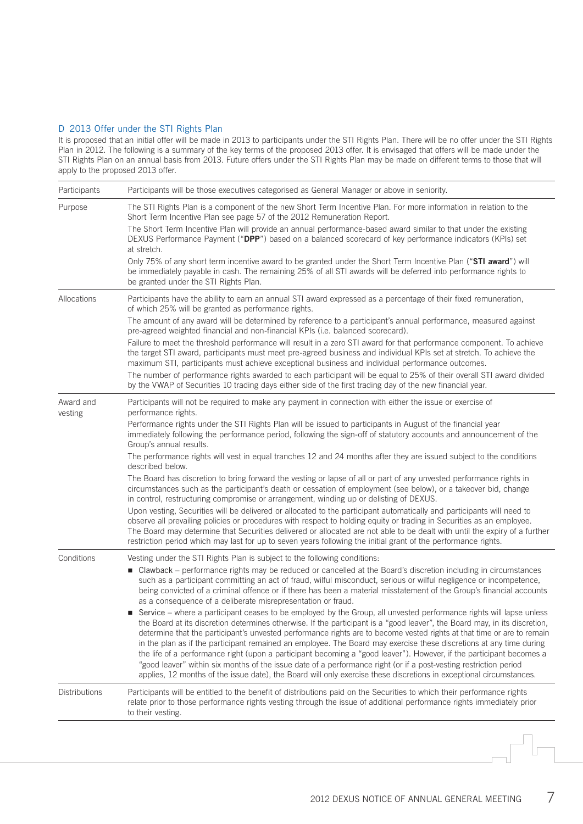### D 2013 Offer under the STI Rights Plan

It is proposed that an initial offer will be made in 2013 to participants under the STI Rights Plan. There will be no offer under the STI Rights Plan in 2012. The following is a summary of the key terms of the proposed 2013 offer. It is envisaged that offers will be made under the STI Rights Plan on an annual basis from 2013. Future offers under the STI Rights Plan may be made on different terms to those that will apply to the proposed 2013 offer.

| Purpose<br>The STI Rights Plan is a component of the new Short Term Incentive Plan. For more information in relation to the<br>Short Term Incentive Plan see page 57 of the 2012 Remuneration Report.<br>The Short Term Incentive Plan will provide an annual performance-based award similar to that under the existing<br>DEXUS Performance Payment ("DPP") based on a balanced scorecard of key performance indicators (KPIs) set<br>at stretch.<br>Only 75% of any short term incentive award to be granted under the Short Term Incentive Plan ("STI award") will<br>be immediately payable in cash. The remaining 25% of all STI awards will be deferred into performance rights to<br>be granted under the STI Rights Plan.<br>Allocations<br>Participants have the ability to earn an annual STI award expressed as a percentage of their fixed remuneration,<br>of which 25% will be granted as performance rights.<br>The amount of any award will be determined by reference to a participant's annual performance, measured against<br>pre-agreed weighted financial and non-financial KPIs (i.e. balanced scorecard).<br>Failure to meet the threshold performance will result in a zero STI award for that performance component. To achieve<br>the target STI award, participants must meet pre-agreed business and individual KPIs set at stretch. To achieve the<br>maximum STI, participants must achieve exceptional business and individual performance outcomes.<br>The number of performance rights awarded to each participant will be equal to 25% of their overall STI award divided<br>by the VWAP of Securities 10 trading days either side of the first trading day of the new financial year.<br>Award and<br>Participants will not be required to make any payment in connection with either the issue or exercise of<br>performance rights.<br>vesting<br>Performance rights under the STI Rights Plan will be issued to participants in August of the financial year<br>immediately following the performance period, following the sign-off of statutory accounts and announcement of the<br>Group's annual results.<br>The performance rights will vest in equal tranches 12 and 24 months after they are issued subject to the conditions<br>described below. |  |
|--------------------------------------------------------------------------------------------------------------------------------------------------------------------------------------------------------------------------------------------------------------------------------------------------------------------------------------------------------------------------------------------------------------------------------------------------------------------------------------------------------------------------------------------------------------------------------------------------------------------------------------------------------------------------------------------------------------------------------------------------------------------------------------------------------------------------------------------------------------------------------------------------------------------------------------------------------------------------------------------------------------------------------------------------------------------------------------------------------------------------------------------------------------------------------------------------------------------------------------------------------------------------------------------------------------------------------------------------------------------------------------------------------------------------------------------------------------------------------------------------------------------------------------------------------------------------------------------------------------------------------------------------------------------------------------------------------------------------------------------------------------------------------------------------------------------------------------------------------------------------------------------------------------------------------------------------------------------------------------------------------------------------------------------------------------------------------------------------------------------------------------------------------------------------------------------------------------------------------------------------------------------------------------------------|--|
|                                                                                                                                                                                                                                                                                                                                                                                                                                                                                                                                                                                                                                                                                                                                                                                                                                                                                                                                                                                                                                                                                                                                                                                                                                                                                                                                                                                                                                                                                                                                                                                                                                                                                                                                                                                                                                                                                                                                                                                                                                                                                                                                                                                                                                                                                                  |  |
|                                                                                                                                                                                                                                                                                                                                                                                                                                                                                                                                                                                                                                                                                                                                                                                                                                                                                                                                                                                                                                                                                                                                                                                                                                                                                                                                                                                                                                                                                                                                                                                                                                                                                                                                                                                                                                                                                                                                                                                                                                                                                                                                                                                                                                                                                                  |  |
|                                                                                                                                                                                                                                                                                                                                                                                                                                                                                                                                                                                                                                                                                                                                                                                                                                                                                                                                                                                                                                                                                                                                                                                                                                                                                                                                                                                                                                                                                                                                                                                                                                                                                                                                                                                                                                                                                                                                                                                                                                                                                                                                                                                                                                                                                                  |  |
|                                                                                                                                                                                                                                                                                                                                                                                                                                                                                                                                                                                                                                                                                                                                                                                                                                                                                                                                                                                                                                                                                                                                                                                                                                                                                                                                                                                                                                                                                                                                                                                                                                                                                                                                                                                                                                                                                                                                                                                                                                                                                                                                                                                                                                                                                                  |  |
|                                                                                                                                                                                                                                                                                                                                                                                                                                                                                                                                                                                                                                                                                                                                                                                                                                                                                                                                                                                                                                                                                                                                                                                                                                                                                                                                                                                                                                                                                                                                                                                                                                                                                                                                                                                                                                                                                                                                                                                                                                                                                                                                                                                                                                                                                                  |  |
|                                                                                                                                                                                                                                                                                                                                                                                                                                                                                                                                                                                                                                                                                                                                                                                                                                                                                                                                                                                                                                                                                                                                                                                                                                                                                                                                                                                                                                                                                                                                                                                                                                                                                                                                                                                                                                                                                                                                                                                                                                                                                                                                                                                                                                                                                                  |  |
|                                                                                                                                                                                                                                                                                                                                                                                                                                                                                                                                                                                                                                                                                                                                                                                                                                                                                                                                                                                                                                                                                                                                                                                                                                                                                                                                                                                                                                                                                                                                                                                                                                                                                                                                                                                                                                                                                                                                                                                                                                                                                                                                                                                                                                                                                                  |  |
|                                                                                                                                                                                                                                                                                                                                                                                                                                                                                                                                                                                                                                                                                                                                                                                                                                                                                                                                                                                                                                                                                                                                                                                                                                                                                                                                                                                                                                                                                                                                                                                                                                                                                                                                                                                                                                                                                                                                                                                                                                                                                                                                                                                                                                                                                                  |  |
|                                                                                                                                                                                                                                                                                                                                                                                                                                                                                                                                                                                                                                                                                                                                                                                                                                                                                                                                                                                                                                                                                                                                                                                                                                                                                                                                                                                                                                                                                                                                                                                                                                                                                                                                                                                                                                                                                                                                                                                                                                                                                                                                                                                                                                                                                                  |  |
|                                                                                                                                                                                                                                                                                                                                                                                                                                                                                                                                                                                                                                                                                                                                                                                                                                                                                                                                                                                                                                                                                                                                                                                                                                                                                                                                                                                                                                                                                                                                                                                                                                                                                                                                                                                                                                                                                                                                                                                                                                                                                                                                                                                                                                                                                                  |  |
| The Board has discretion to bring forward the vesting or lapse of all or part of any unvested performance rights in<br>circumstances such as the participant's death or cessation of employment (see below), or a takeover bid, change<br>in control, restructuring compromise or arrangement, winding up or delisting of DEXUS.                                                                                                                                                                                                                                                                                                                                                                                                                                                                                                                                                                                                                                                                                                                                                                                                                                                                                                                                                                                                                                                                                                                                                                                                                                                                                                                                                                                                                                                                                                                                                                                                                                                                                                                                                                                                                                                                                                                                                                 |  |
| Upon vesting, Securities will be delivered or allocated to the participant automatically and participants will need to<br>observe all prevailing policies or procedures with respect to holding equity or trading in Securities as an employee.<br>The Board may determine that Securities delivered or allocated are not able to be dealt with until the expiry of a further<br>restriction period which may last for up to seven years following the initial grant of the performance rights.                                                                                                                                                                                                                                                                                                                                                                                                                                                                                                                                                                                                                                                                                                                                                                                                                                                                                                                                                                                                                                                                                                                                                                                                                                                                                                                                                                                                                                                                                                                                                                                                                                                                                                                                                                                                  |  |
| Conditions<br>Vesting under the STI Rights Plan is subject to the following conditions:<br>■ Clawback – performance rights may be reduced or cancelled at the Board's discretion including in circumstances<br>such as a participant committing an act of fraud, wilful misconduct, serious or wilful negligence or incompetence,<br>being convicted of a criminal offence or if there has been a material misstatement of the Group's financial accounts<br>as a consequence of a deliberate misrepresentation or fraud.                                                                                                                                                                                                                                                                                                                                                                                                                                                                                                                                                                                                                                                                                                                                                                                                                                                                                                                                                                                                                                                                                                                                                                                                                                                                                                                                                                                                                                                                                                                                                                                                                                                                                                                                                                        |  |
| Service – where a participant ceases to be employed by the Group, all unvested performance rights will lapse unless<br>the Board at its discretion determines otherwise. If the participant is a "good leaver", the Board may, in its discretion,<br>determine that the participant's unvested performance rights are to become vested rights at that time or are to remain<br>in the plan as if the participant remained an employee. The Board may exercise these discretions at any time during<br>the life of a performance right (upon a participant becoming a "good leaver"). However, if the participant becomes a<br>"good leaver" within six months of the issue date of a performance right (or if a post-vesting restriction period<br>applies, 12 months of the issue date), the Board will only exercise these discretions in exceptional circumstances.                                                                                                                                                                                                                                                                                                                                                                                                                                                                                                                                                                                                                                                                                                                                                                                                                                                                                                                                                                                                                                                                                                                                                                                                                                                                                                                                                                                                                           |  |
| Distributions<br>Participants will be entitled to the benefit of distributions paid on the Securities to which their performance rights<br>relate prior to those performance rights vesting through the issue of additional performance rights immediately prior<br>to their vesting.                                                                                                                                                                                                                                                                                                                                                                                                                                                                                                                                                                                                                                                                                                                                                                                                                                                                                                                                                                                                                                                                                                                                                                                                                                                                                                                                                                                                                                                                                                                                                                                                                                                                                                                                                                                                                                                                                                                                                                                                            |  |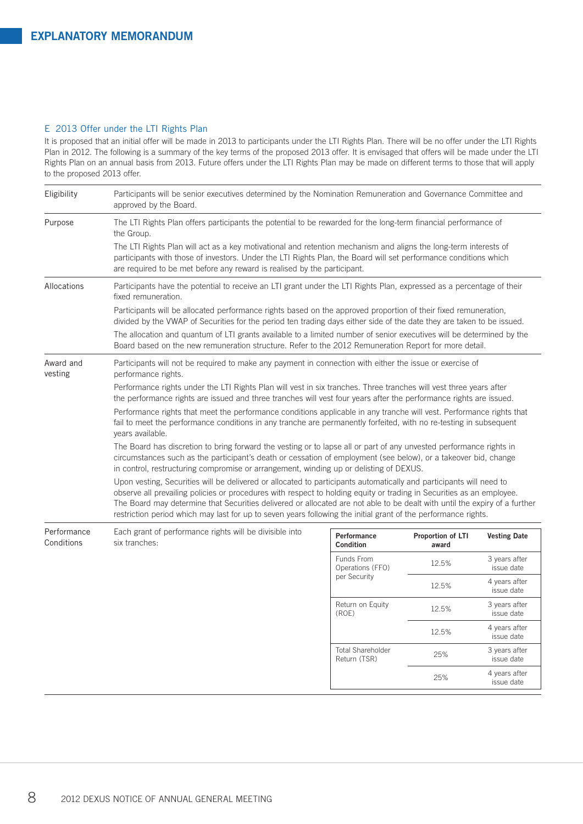### E 2013 Offer under the LTI Rights Plan

It is proposed that an initial offer will be made in 2013 to participants under the LTI Rights Plan. There will be no offer under the LTI Rights Plan in 2012. The following is a summary of the key terms of the proposed 2013 offer. It is envisaged that offers will be made under the LTI Rights Plan on an annual basis from 2013. Future offers under the LTI Rights Plan may be made on different terms to those that will apply to the proposed 2013 offer.

| Eligibility               | Participants will be senior executives determined by the Nomination Remuneration and Governance Committee and<br>approved by the Board.                                                                                                                                                                                                                                                                                                                                                      |                                           |                            |                             |  |
|---------------------------|----------------------------------------------------------------------------------------------------------------------------------------------------------------------------------------------------------------------------------------------------------------------------------------------------------------------------------------------------------------------------------------------------------------------------------------------------------------------------------------------|-------------------------------------------|----------------------------|-----------------------------|--|
| Purpose                   | The LTI Rights Plan offers participants the potential to be rewarded for the long-term financial performance of<br>the Group.                                                                                                                                                                                                                                                                                                                                                                |                                           |                            |                             |  |
|                           | The LTI Rights Plan will act as a key motivational and retention mechanism and aligns the long-term interests of<br>participants with those of investors. Under the LTI Rights Plan, the Board will set performance conditions which<br>are required to be met before any reward is realised by the participant.                                                                                                                                                                             |                                           |                            |                             |  |
| Allocations               | Participants have the potential to receive an LTI grant under the LTI Rights Plan, expressed as a percentage of their<br>fixed remuneration.                                                                                                                                                                                                                                                                                                                                                 |                                           |                            |                             |  |
|                           | Participants will be allocated performance rights based on the approved proportion of their fixed remuneration,<br>divided by the VWAP of Securities for the period ten trading days either side of the date they are taken to be issued.                                                                                                                                                                                                                                                    |                                           |                            |                             |  |
|                           | The allocation and quantum of LTI grants available to a limited number of senior executives will be determined by the<br>Board based on the new remuneration structure. Refer to the 2012 Remuneration Report for more detail.                                                                                                                                                                                                                                                               |                                           |                            |                             |  |
| Award and<br>vesting      | Participants will not be required to make any payment in connection with either the issue or exercise of<br>performance rights.                                                                                                                                                                                                                                                                                                                                                              |                                           |                            |                             |  |
|                           | Performance rights under the LTI Rights Plan will vest in six tranches. Three tranches will vest three years after<br>the performance rights are issued and three tranches will vest four years after the performance rights are issued.                                                                                                                                                                                                                                                     |                                           |                            |                             |  |
|                           | Performance rights that meet the performance conditions applicable in any tranche will vest. Performance rights that<br>fail to meet the performance conditions in any tranche are permanently forfeited, with no re-testing in subsequent<br>years available.                                                                                                                                                                                                                               |                                           |                            |                             |  |
|                           | The Board has discretion to bring forward the vesting or to lapse all or part of any unvested performance rights in<br>circumstances such as the participant's death or cessation of employment (see below), or a takeover bid, change<br>in control, restructuring compromise or arrangement, winding up or delisting of DEXUS.                                                                                                                                                             |                                           |                            |                             |  |
|                           | Upon vesting, Securities will be delivered or allocated to participants automatically and participants will need to<br>observe all prevailing policies or procedures with respect to holding equity or trading in Securities as an employee.<br>The Board may determine that Securities delivered or allocated are not able to be dealt with until the expiry of a further<br>restriction period which may last for up to seven years following the initial grant of the performance rights. |                                           |                            |                             |  |
| Performance<br>Conditions | Each grant of performance rights will be divisible into<br>six tranches:                                                                                                                                                                                                                                                                                                                                                                                                                     | Performance<br>Condition                  | Proportion of LTI<br>award | <b>Vesting Date</b>         |  |
|                           |                                                                                                                                                                                                                                                                                                                                                                                                                                                                                              | Funds From<br>Operations (FFO)            | 12.5%                      | 3 years after<br>issue date |  |
|                           |                                                                                                                                                                                                                                                                                                                                                                                                                                                                                              | per Security<br>Return on Equity<br>(ROE) | 12.5%                      | 4 years after<br>issue date |  |
|                           |                                                                                                                                                                                                                                                                                                                                                                                                                                                                                              |                                           | 12.5%                      | 3 years after<br>issue date |  |
|                           |                                                                                                                                                                                                                                                                                                                                                                                                                                                                                              |                                           | 12.5%                      | 4 years after<br>issue date |  |
|                           |                                                                                                                                                                                                                                                                                                                                                                                                                                                                                              | <b>Total Shareholder</b><br>Return (TSR)  | 25%                        | 3 years after<br>issue date |  |
|                           |                                                                                                                                                                                                                                                                                                                                                                                                                                                                                              |                                           | 25%                        | 4 years after<br>issue date |  |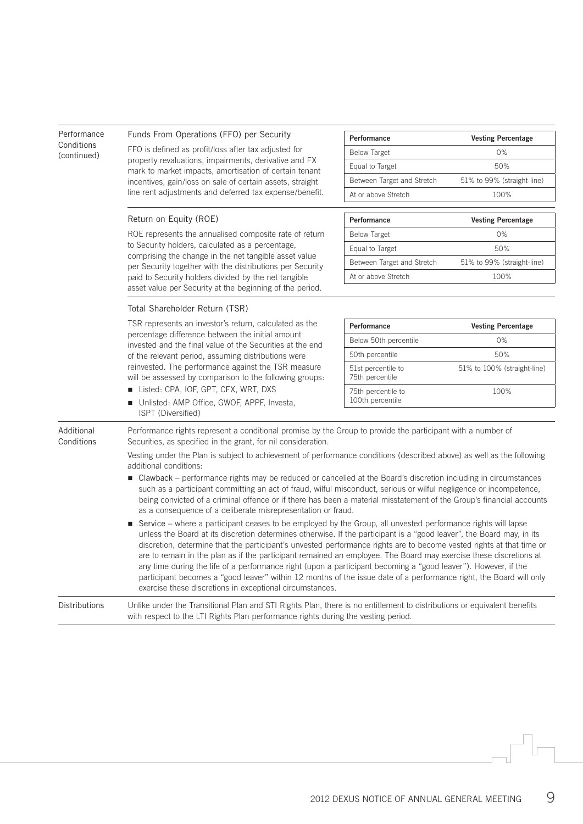| Performance               | Funds From Operations (FFO) per Security                                                                                                                                                                                                                                                                                                                                                                                                                                                                                                                                                                                                                                                                                                                                                                                                                                                                                                                                                                                                                                                                                                                                                                                                                                                                                                                                                                                                                                                                          | Performance                            | <b>Vesting Percentage</b>   |  |
|---------------------------|-------------------------------------------------------------------------------------------------------------------------------------------------------------------------------------------------------------------------------------------------------------------------------------------------------------------------------------------------------------------------------------------------------------------------------------------------------------------------------------------------------------------------------------------------------------------------------------------------------------------------------------------------------------------------------------------------------------------------------------------------------------------------------------------------------------------------------------------------------------------------------------------------------------------------------------------------------------------------------------------------------------------------------------------------------------------------------------------------------------------------------------------------------------------------------------------------------------------------------------------------------------------------------------------------------------------------------------------------------------------------------------------------------------------------------------------------------------------------------------------------------------------|----------------------------------------|-----------------------------|--|
| Conditions<br>(continued) | FFO is defined as profit/loss after tax adjusted for                                                                                                                                                                                                                                                                                                                                                                                                                                                                                                                                                                                                                                                                                                                                                                                                                                                                                                                                                                                                                                                                                                                                                                                                                                                                                                                                                                                                                                                              | <b>Below Target</b>                    | 0%                          |  |
|                           | property revaluations, impairments, derivative and FX<br>mark to market impacts, amortisation of certain tenant                                                                                                                                                                                                                                                                                                                                                                                                                                                                                                                                                                                                                                                                                                                                                                                                                                                                                                                                                                                                                                                                                                                                                                                                                                                                                                                                                                                                   | Equal to Target                        | 50%                         |  |
|                           | incentives, gain/loss on sale of certain assets, straight                                                                                                                                                                                                                                                                                                                                                                                                                                                                                                                                                                                                                                                                                                                                                                                                                                                                                                                                                                                                                                                                                                                                                                                                                                                                                                                                                                                                                                                         | Between Target and Stretch             | 51% to 99% (straight-line)  |  |
|                           | line rent adjustments and deferred tax expense/benefit.                                                                                                                                                                                                                                                                                                                                                                                                                                                                                                                                                                                                                                                                                                                                                                                                                                                                                                                                                                                                                                                                                                                                                                                                                                                                                                                                                                                                                                                           | At or above Stretch                    | 100%                        |  |
|                           | Return on Equity (ROE)                                                                                                                                                                                                                                                                                                                                                                                                                                                                                                                                                                                                                                                                                                                                                                                                                                                                                                                                                                                                                                                                                                                                                                                                                                                                                                                                                                                                                                                                                            | <b>Performance</b>                     | <b>Vesting Percentage</b>   |  |
|                           | ROE represents the annualised composite rate of return                                                                                                                                                                                                                                                                                                                                                                                                                                                                                                                                                                                                                                                                                                                                                                                                                                                                                                                                                                                                                                                                                                                                                                                                                                                                                                                                                                                                                                                            | <b>Below Target</b>                    | 0%                          |  |
|                           | to Security holders, calculated as a percentage,<br>comprising the change in the net tangible asset value                                                                                                                                                                                                                                                                                                                                                                                                                                                                                                                                                                                                                                                                                                                                                                                                                                                                                                                                                                                                                                                                                                                                                                                                                                                                                                                                                                                                         | Equal to Target                        | 50%                         |  |
|                           | per Security together with the distributions per Security                                                                                                                                                                                                                                                                                                                                                                                                                                                                                                                                                                                                                                                                                                                                                                                                                                                                                                                                                                                                                                                                                                                                                                                                                                                                                                                                                                                                                                                         | Between Target and Stretch             | 51% to 99% (straight-line)  |  |
|                           | paid to Security holders divided by the net tangible                                                                                                                                                                                                                                                                                                                                                                                                                                                                                                                                                                                                                                                                                                                                                                                                                                                                                                                                                                                                                                                                                                                                                                                                                                                                                                                                                                                                                                                              | At or above Stretch                    | 100%                        |  |
|                           | asset value per Security at the beginning of the period.                                                                                                                                                                                                                                                                                                                                                                                                                                                                                                                                                                                                                                                                                                                                                                                                                                                                                                                                                                                                                                                                                                                                                                                                                                                                                                                                                                                                                                                          |                                        |                             |  |
|                           | Total Shareholder Return (TSR)                                                                                                                                                                                                                                                                                                                                                                                                                                                                                                                                                                                                                                                                                                                                                                                                                                                                                                                                                                                                                                                                                                                                                                                                                                                                                                                                                                                                                                                                                    |                                        |                             |  |
|                           | TSR represents an investor's return, calculated as the                                                                                                                                                                                                                                                                                                                                                                                                                                                                                                                                                                                                                                                                                                                                                                                                                                                                                                                                                                                                                                                                                                                                                                                                                                                                                                                                                                                                                                                            | Performance                            | <b>Vesting Percentage</b>   |  |
|                           | percentage difference between the initial amount<br>invested and the final value of the Securities at the end                                                                                                                                                                                                                                                                                                                                                                                                                                                                                                                                                                                                                                                                                                                                                                                                                                                                                                                                                                                                                                                                                                                                                                                                                                                                                                                                                                                                     | Below 50th percentile                  | 0%                          |  |
|                           | of the relevant period, assuming distributions were<br>reinvested. The performance against the TSR measure<br>will be assessed by comparison to the following groups:                                                                                                                                                                                                                                                                                                                                                                                                                                                                                                                                                                                                                                                                                                                                                                                                                                                                                                                                                                                                                                                                                                                                                                                                                                                                                                                                             | 50th percentile                        | 50%                         |  |
|                           |                                                                                                                                                                                                                                                                                                                                                                                                                                                                                                                                                                                                                                                                                                                                                                                                                                                                                                                                                                                                                                                                                                                                                                                                                                                                                                                                                                                                                                                                                                                   | 51st percentile to<br>75th percentile  | 51% to 100% (straight-line) |  |
|                           | Listed: CPA, IOF, GPT, CFX, WRT, DXS<br>Unlisted: AMP Office, GWOF, APPF, Investa,<br>ISPT (Diversified)                                                                                                                                                                                                                                                                                                                                                                                                                                                                                                                                                                                                                                                                                                                                                                                                                                                                                                                                                                                                                                                                                                                                                                                                                                                                                                                                                                                                          | 75th percentile to<br>100th percentile | 100%                        |  |
| Additional<br>Conditions  | Performance rights represent a conditional promise by the Group to provide the participant with a number of<br>Securities, as specified in the grant, for nil consideration.<br>Vesting under the Plan is subject to achievement of performance conditions (described above) as well as the following<br>additional conditions:<br>■ Clawback – performance rights may be reduced or cancelled at the Board's discretion including in circumstances<br>such as a participant committing an act of fraud, wilful misconduct, serious or wilful negligence or incompetence,<br>being convicted of a criminal offence or if there has been a material misstatement of the Group's financial accounts<br>as a consequence of a deliberate misrepresentation or fraud.<br>Service - where a participant ceases to be employed by the Group, all unvested performance rights will lapse<br>$\blacksquare$<br>unless the Board at its discretion determines otherwise. If the participant is a "good leaver", the Board may, in its<br>discretion, determine that the participant's unvested performance rights are to become vested rights at that time or<br>are to remain in the plan as if the participant remained an employee. The Board may exercise these discretions at<br>any time during the life of a performance right (upon a participant becoming a "good leaver"). However, if the<br>participant becomes a "good leaver" within 12 months of the issue date of a performance right, the Board will only |                                        |                             |  |
| Distributions             | exercise these discretions in exceptional circumstances.<br>Unlike under the Transitional Plan and STI Rights Plan, there is no entitlement to distributions or equivalent benefits<br>with respect to the LTI Rights Plan performance rights during the vesting period.                                                                                                                                                                                                                                                                                                                                                                                                                                                                                                                                                                                                                                                                                                                                                                                                                                                                                                                                                                                                                                                                                                                                                                                                                                          |                                        |                             |  |

 $\sqrt{2}$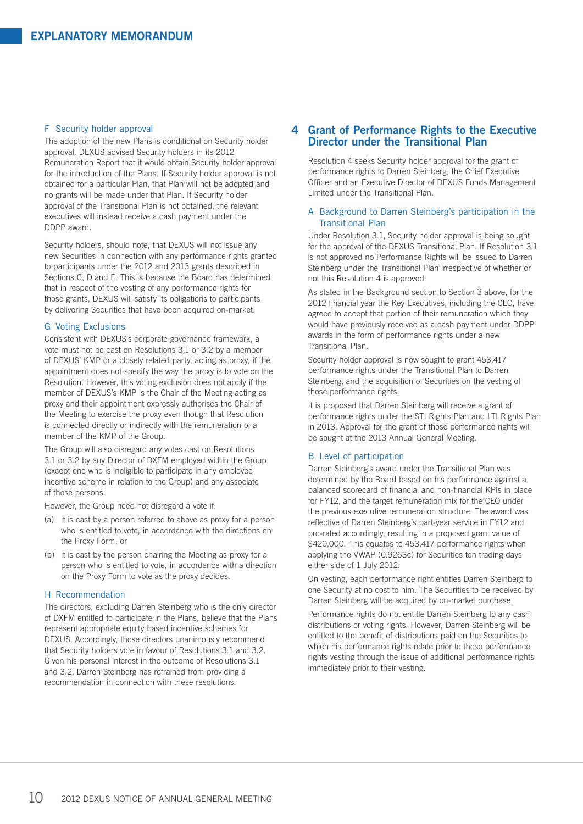#### F Security holder approval

The adoption of the new Plans is conditional on Security holder approval. DEXUS advised Security holders in its 2012 Remuneration Report that it would obtain Security holder approval for the introduction of the Plans. If Security holder approval is not obtained for a particular Plan, that Plan will not be adopted and no grants will be made under that Plan. If Security holder approval of the Transitional Plan is not obtained, the relevant executives will instead receive a cash payment under the DDPP award.

Security holders, should note, that DEXUS will not issue any new Securities in connection with any performance rights granted to participants under the 2012 and 2013 grants described in Sections C, D and E. This is because the Board has determined that in respect of the vesting of any performance rights for those grants, DEXUS will satisfy its obligations to participants by delivering Securities that have been acquired on-market.

### G Voting Exclusions

Consistent with DEXUS's corporate governance framework, a vote must not be cast on Resolutions 3.1 or 3.2 by a member of DEXUS' KMP or a closely related party, acting as proxy, if the appointment does not specify the way the proxy is to vote on the Resolution. However, this voting exclusion does not apply if the member of DEXUS's KMP is the Chair of the Meeting acting as proxy and their appointment expressly authorises the Chair of the Meeting to exercise the proxy even though that Resolution is connected directly or indirectly with the remuneration of a member of the KMP of the Group.

The Group will also disregard any votes cast on Resolutions 3.1 or 3.2 by any Director of DXFM employed within the Group (except one who is ineligible to participate in any employee incentive scheme in relation to the Group) and any associate of those persons.

However, the Group need not disregard a vote if:

- (a) it is cast by a person referred to above as proxy for a person who is entitled to vote, in accordance with the directions on the Proxy Form; or
- (b) it is cast by the person chairing the Meeting as proxy for a person who is entitled to vote, in accordance with a direction on the Proxy Form to vote as the proxy decides.

### H Recommendation

The directors, excluding Darren Steinberg who is the only director of DXFM entitled to participate in the Plans, believe that the Plans represent appropriate equity based incentive schemes for DEXUS. Accordingly, those directors unanimously recommend that Security holders vote in favour of Resolutions 3.1 and 3.2. Given his personal interest in the outcome of Resolutions 3.1 and 3.2, Darren Steinberg has refrained from providing a recommendation in connection with these resolutions.

# **4 Grant of Performance Rights to the Executive Director under the Transitional Plan**

Resolution 4 seeks Security holder approval for the grant of performance rights to Darren Steinberg, the Chief Executive Officer and an Executive Director of DEXUS Funds Management Limited under the Transitional Plan.

# A Background to Darren Steinberg's participation in the Transitional Plan

Under Resolution 3.1, Security holder approval is being sought for the approval of the DEXUS Transitional Plan. If Resolution 3.1 is not approved no Performance Rights will be issued to Darren Steinberg under the Transitional Plan irrespective of whether or not this Resolution 4 is approved.

As stated in the Background section to Section 3 above, for the 2012 financial year the Key Executives, including the CEO, have agreed to accept that portion of their remuneration which they would have previously received as a cash payment under DDPP awards in the form of performance rights under a new Transitional Plan.

Security holder approval is now sought to grant 453,417 performance rights under the Transitional Plan to Darren Steinberg, and the acquisition of Securities on the vesting of those performance rights.

It is proposed that Darren Steinberg will receive a grant of performance rights under the STI Rights Plan and LTI Rights Plan in 2013. Approval for the grant of those performance rights will be sought at the 2013 Annual General Meeting.

#### B Level of participation

Darren Steinberg's award under the Transitional Plan was determined by the Board based on his performance against a balanced scorecard of financial and non-financial KPIs in place for FY12, and the target remuneration mix for the CEO under the previous executive remuneration structure. The award was reflective of Darren Steinberg's part-year service in FY12 and pro-rated accordingly, resulting in a proposed grant value of \$420,000. This equates to 453,417 performance rights when applying the VWAP (0.9263c) for Securities ten trading days either side of 1 July 2012.

On vesting, each performance right entitles Darren Steinberg to one Security at no cost to him. The Securities to be received by Darren Steinberg will be acquired by on-market purchase.

Performance rights do not entitle Darren Steinberg to any cash distributions or voting rights. However, Darren Steinberg will be entitled to the benefit of distributions paid on the Securities to which his performance rights relate prior to those performance rights vesting through the issue of additional performance rights immediately prior to their vesting.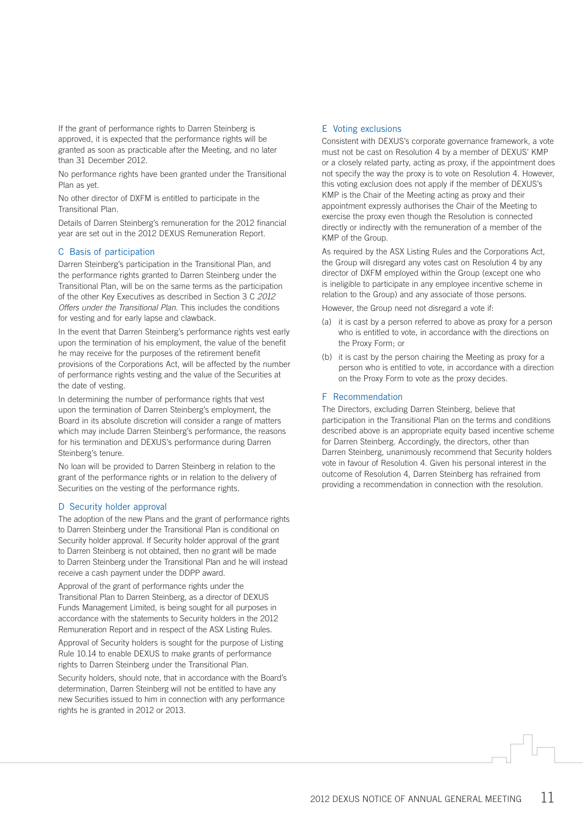If the grant of performance rights to Darren Steinberg is approved, it is expected that the performance rights will be granted as soon as practicable after the Meeting, and no later than 31 December 2012.

No performance rights have been granted under the Transitional Plan as yet.

No other director of DXFM is entitled to participate in the Transitional Plan.

Details of Darren Steinberg's remuneration for the 2012 financial year are set out in the 2012 DEXUS Remuneration Report.

# C Basis of participation

Darren Steinberg's participation in the Transitional Plan, and the performance rights granted to Darren Steinberg under the Transitional Plan, will be on the same terms as the participation of the other Key Executives as described in Section 3 C *2012 Offers under the Transitional Plan*. This includes the conditions for vesting and for early lapse and clawback.

In the event that Darren Steinberg's performance rights vest early upon the termination of his employment, the value of the benefit he may receive for the purposes of the retirement benefit provisions of the Corporations Act, will be affected by the number of performance rights vesting and the value of the Securities at the date of vesting.

In determining the number of performance rights that vest upon the termination of Darren Steinberg's employment, the Board in its absolute discretion will consider a range of matters which may include Darren Steinberg's performance, the reasons for his termination and DEXUS's performance during Darren Steinberg's tenure.

No loan will be provided to Darren Steinberg in relation to the grant of the performance rights or in relation to the delivery of Securities on the vesting of the performance rights.

# D Security holder approval

The adoption of the new Plans and the grant of performance rights to Darren Steinberg under the Transitional Plan is conditional on Security holder approval. If Security holder approval of the grant to Darren Steinberg is not obtained, then no grant will be made to Darren Steinberg under the Transitional Plan and he will instead receive a cash payment under the DDPP award.

Approval of the grant of performance rights under the Transitional Plan to Darren Steinberg, as a director of DEXUS Funds Management Limited, is being sought for all purposes in accordance with the statements to Security holders in the 2012 Remuneration Report and in respect of the ASX Listing Rules.

Approval of Security holders is sought for the purpose of Listing Rule 10.14 to enable DEXUS to make grants of performance rights to Darren Steinberg under the Transitional Plan.

Security holders, should note, that in accordance with the Board's determination, Darren Steinberg will not be entitled to have any new Securities issued to him in connection with any performance rights he is granted in 2012 or 2013.

# E Voting exclusions

Consistent with DEXUS's corporate governance framework, a vote must not be cast on Resolution 4 by a member of DEXUS' KMP or a closely related party, acting as proxy, if the appointment does not specify the way the proxy is to vote on Resolution 4. However, this voting exclusion does not apply if the member of DEXUS's KMP is the Chair of the Meeting acting as proxy and their appointment expressly authorises the Chair of the Meeting to exercise the proxy even though the Resolution is connected directly or indirectly with the remuneration of a member of the KMP of the Group.

As required by the ASX Listing Rules and the Corporations Act, the Group will disregard any votes cast on Resolution 4 by any director of DXFM employed within the Group (except one who is ineligible to participate in any employee incentive scheme in relation to the Group) and any associate of those persons.

However, the Group need not disregard a vote if:

- (a) it is cast by a person referred to above as proxy for a person who is entitled to vote, in accordance with the directions on the Proxy Form; or
- (b) it is cast by the person chairing the Meeting as proxy for a person who is entitled to vote, in accordance with a direction on the Proxy Form to vote as the proxy decides.

# F Recommendation

The Directors, excluding Darren Steinberg, believe that participation in the Transitional Plan on the terms and conditions described above is an appropriate equity based incentive scheme for Darren Steinberg. Accordingly, the directors, other than Darren Steinberg, unanimously recommend that Security holders vote in favour of Resolution 4. Given his personal interest in the outcome of Resolution 4, Darren Steinberg has refrained from providing a recommendation in connection with the resolution.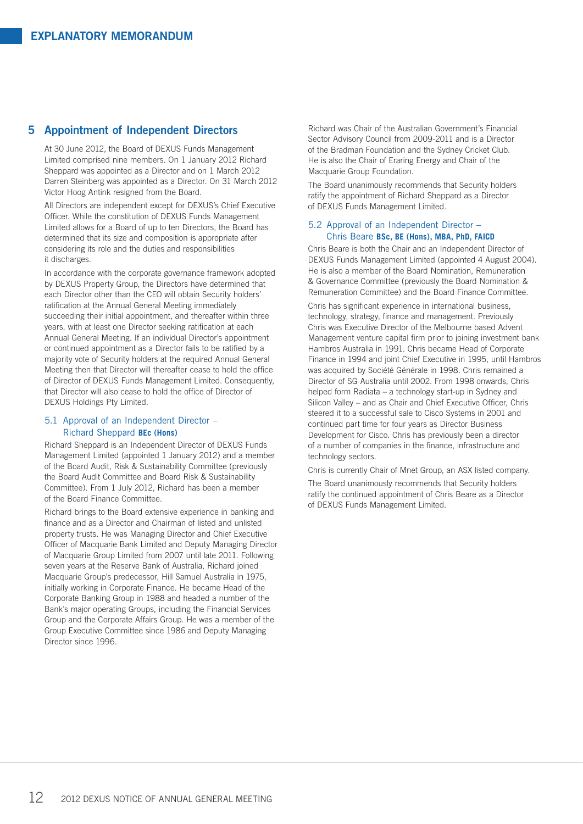# **5 Appointment of Independent Directors**

At 30 June 2012, the Board of DEXUS Funds Management Limited comprised nine members. On 1 January 2012 Richard Sheppard was appointed as a Director and on 1 March 2012 Darren Steinberg was appointed as a Director. On 31 March 2012 Victor Hoog Antink resigned from the Board.

All Directors are independent except for DEXUS's Chief Executive Officer. While the constitution of DEXUS Funds Management Limited allows for a Board of up to ten Directors, the Board has determined that its size and composition is appropriate after considering its role and the duties and responsibilities it discharges.

In accordance with the corporate governance framework adopted by DEXUS Property Group, the Directors have determined that each Director other than the CEO will obtain Security holders' ratification at the Annual General Meeting immediately succeeding their initial appointment, and thereafter within three years, with at least one Director seeking ratification at each Annual General Meeting. If an individual Director's appointment or continued appointment as a Director fails to be ratified by a majority vote of Security holders at the required Annual General Meeting then that Director will thereafter cease to hold the office of Director of DEXUS Funds Management Limited. Consequently, that Director will also cease to hold the office of Director of DEXUS Holdings Pty Limited.

# 5.1 Approval of an Independent Director – Richard Sheppard **BEc (Hons)**

Richard Sheppard is an Independent Director of DEXUS Funds Management Limited (appointed 1 January 2012) and a member of the Board Audit, Risk & Sustainability Committee (previously the Board Audit Committee and Board Risk & Sustainability Committee). From 1 July 2012, Richard has been a member of the Board Finance Committee.

Richard brings to the Board extensive experience in banking and finance and as a Director and Chairman of listed and unlisted property trusts. He was Managing Director and Chief Executive Officer of Macquarie Bank Limited and Deputy Managing Director of Macquarie Group Limited from 2007 until late 2011. Following seven years at the Reserve Bank of Australia, Richard joined Macquarie Group's predecessor, Hill Samuel Australia in 1975, initially working in Corporate Finance. He became Head of the Corporate Banking Group in 1988 and headed a number of the Bank's major operating Groups, including the Financial Services Group and the Corporate Affairs Group. He was a member of the Group Executive Committee since 1986 and Deputy Managing Director since 1996.

Richard was Chair of the Australian Government's Financial Sector Advisory Council from 2009-2011 and is a Director of the Bradman Foundation and the Sydney Cricket Club. He is also the Chair of Eraring Energy and Chair of the Macquarie Group Foundation.

The Board unanimously recommends that Security holders ratify the appointment of Richard Sheppard as a Director of DEXUS Funds Management Limited.

# 5.2 Approval of an Independent Director – Chris Beare **BSc, BE (Hons), MBA, PhD, FAICD**

Chris Beare is both the Chair and an Independent Director of DEXUS Funds Management Limited (appointed 4 August 2004). He is also a member of the Board Nomination, Remuneration & Governance Committee (previously the Board Nomination & Remuneration Committee) and the Board Finance Committee.

Chris has significant experience in international business, technology, strategy, finance and management. Previously Chris was Executive Director of the Melbourne based Advent Management venture capital firm prior to joining investment bank Hambros Australia in 1991. Chris became Head of Corporate Finance in 1994 and joint Chief Executive in 1995, until Hambros was acquired by Société Générale in 1998. Chris remained a Director of SG Australia until 2002. From 1998 onwards, Chris helped form Radiata – a technology start-up in Sydney and Silicon Valley – and as Chair and Chief Executive Officer, Chris steered it to a successful sale to Cisco Systems in 2001 and continued part time for four years as Director Business Development for Cisco. Chris has previously been a director of a number of companies in the finance, infrastructure and technology sectors.

Chris is currently Chair of Mnet Group, an ASX listed company. The Board unanimously recommends that Security holders ratify the continued appointment of Chris Beare as a Director of DEXUS Funds Management Limited.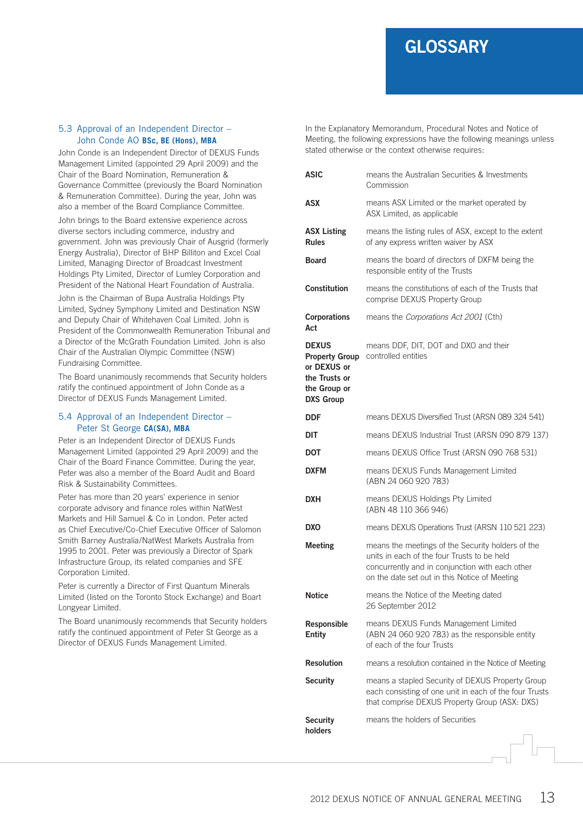# **GLOSSARY**

# 5.3 Approval of an Independent Director – John Conde AO **BSc, BE (Hons), MBA**

John Conde is an Independent Director of DEXUS Funds Management Limited (appointed 29 April 2009) and the Chair of the Board Nomination, Remuneration & Governance Committee (previously the Board Nomination & Remuneration Committee). During the year, John was also a member of the Board Compliance Committee.

John brings to the Board extensive experience across diverse sectors including commerce, industry and government. John was previously Chair of Ausgrid (formerly Energy Australia), Director of BHP Billiton and Excel Coal Limited, Managing Director of Broadcast Investment Holdings Pty Limited, Director of Lumley Corporation and President of the National Heart Foundation of Australia.

John is the Chairman of Bupa Australia Holdings Pty Limited, Sydney Symphony Limited and Destination NSW and Deputy Chair of Whitehaven Coal Limited. John is President of the Commonwealth Remuneration Tribunal and a Director of the McGrath Foundation Limited. John is also Chair of the Australian Olympic Committee (NSW) Fundraising Committee.

The Board unanimously recommends that Security holders ratify the continued appointment of John Conde as a Director of DEXUS Funds Management Limited.

# 5.4 Approval of an Independent Director – Peter St George **CA(SA), MBA**

Peter is an Independent Director of DEXUS Funds Management Limited (appointed 29 April 2009) and the Chair of the Board Finance Committee. During the year, Peter was also a member of the Board Audit and Board Risk & Sustainability Committees.

Peter has more than 20 years' experience in senior corporate advisory and finance roles within NatWest Markets and Hill Samuel & Co in London. Peter acted as Chief Executive/Co-Chief Executive Officer of Salomon Smith Barney Australia/NatWest Markets Australia from 1995 to 2001. Peter was previously a Director of Spark Infrastructure Group, its related companies and SFE Corporation Limited.

Peter is currently a Director of First Quantum Minerals Limited (listed on the Toronto Stock Exchange) and Boart Longyear Limited.

The Board unanimously recommends that Security holders ratify the continued appointment of Peter St George as a Director of DEXUS Funds Management Limited.

In the Explanatory Memorandum, Procedural Notes and Notice of Meeting, the following expressions have the following meanings unless stated otherwise or the context otherwise requires:

| <b>ASIC</b>                                                                                               | means the Australian Securities & Investments<br>Commission                                                                                                                                          |
|-----------------------------------------------------------------------------------------------------------|------------------------------------------------------------------------------------------------------------------------------------------------------------------------------------------------------|
| ASX                                                                                                       | means ASX Limited or the market operated by<br>ASX Limited, as applicable                                                                                                                            |
| <b>ASX Listing</b><br><b>Rules</b>                                                                        | means the listing rules of ASX, except to the extent<br>of any express written waiver by ASX                                                                                                         |
| <b>Board</b>                                                                                              | means the board of directors of DXFM being the<br>responsible entity of the Trusts                                                                                                                   |
| <b>Constitution</b>                                                                                       | means the constitutions of each of the Trusts that<br>comprise DEXUS Property Group                                                                                                                  |
| <b>Corporations</b><br>Act                                                                                | means the Corporations Act 2001 (Cth)                                                                                                                                                                |
| <b>DEXUS</b><br><b>Property Group</b><br>or DEXUS or<br>the Trusts or<br>the Group or<br><b>DXS Group</b> | means DDF, DIT, DOT and DXO and their<br>controlled entities                                                                                                                                         |
| DDF                                                                                                       | means DEXUS Diversified Trust (ARSN 089 324 541)                                                                                                                                                     |
| DIT                                                                                                       | means DEXUS Industrial Trust (ARSN 090 879 137)                                                                                                                                                      |
| <b>DOT</b>                                                                                                | means DEXUS Office Trust (ARSN 090 768 531)                                                                                                                                                          |
| <b>DXFM</b>                                                                                               | means DEXUS Funds Management Limited<br>(ABN 24 060 920 783)                                                                                                                                         |
| DXH                                                                                                       | means DEXUS Holdings Pty Limited<br>(ABN 48 110 366 946)                                                                                                                                             |
| DXO                                                                                                       | means DEXUS Operations Trust (ARSN 110 521 223)                                                                                                                                                      |
| <b>Meeting</b>                                                                                            | means the meetings of the Security holders of the<br>units in each of the four Trusts to be held<br>concurrently and in conjunction with each other<br>on the date set out in this Notice of Meeting |
| <b>Notice</b>                                                                                             | means the Notice of the Meeting dated<br>26 September 2012                                                                                                                                           |
| <b>Responsible</b><br><b>Entity</b>                                                                       | means DEXUS Funds Management Limited<br>(ABN 24 060 920 783) as the responsible entity<br>of each of the four Trusts                                                                                 |
| <b>Resolution</b>                                                                                         | means a resolution contained in the Notice of Meeting                                                                                                                                                |
| <b>Security</b>                                                                                           | means a stapled Security of DEXUS Property Group<br>each consisting of one unit in each of the four Trusts<br>that comprise DEXUS Property Group (ASX: DXS)                                          |
| <b>Security</b><br>holders                                                                                | means the holders of Securities                                                                                                                                                                      |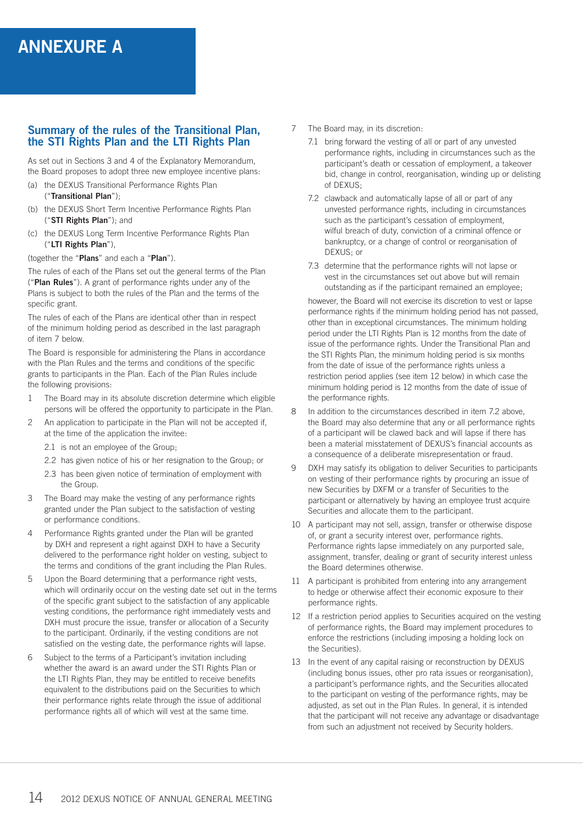# **ANNEXURE A**

# **Summary of the rules of the Transitional Plan, the STI Rights Plan and the LTI Rights Plan**

As set out in Sections 3 and 4 of the Explanatory Memorandum, the Board proposes to adopt three new employee incentive plans:

- (a) the DEXUS Transitional Performance Rights Plan ("**Transitional Plan**");
- (b) the DEXUS Short Term Incentive Performance Rights Plan ("**STI Rights Plan**"); and
- (c) the DEXUS Long Term Incentive Performance Rights Plan ("**LTI Rights Plan**"),

(together the "**Plans**" and each a "**Plan**").

The rules of each of the Plans set out the general terms of the Plan ("**Plan Rules**"). A grant of performance rights under any of the Plans is subject to both the rules of the Plan and the terms of the specific grant.

The rules of each of the Plans are identical other than in respect of the minimum holding period as described in the last paragraph of item 7 below.

The Board is responsible for administering the Plans in accordance with the Plan Rules and the terms and conditions of the specific grants to participants in the Plan. Each of the Plan Rules include the following provisions:

- 1 The Board may in its absolute discretion determine which eligible persons will be offered the opportunity to participate in the Plan.
- 2 An application to participate in the Plan will not be accepted if, at the time of the application the invitee:
	- 2.1 is not an employee of the Group;
	- 2.2 has given notice of his or her resignation to the Group; or
	- 2.3 has been given notice of termination of employment with the Group.
- 3 The Board may make the vesting of any performance rights granted under the Plan subject to the satisfaction of vesting or performance conditions.
- 4 Performance Rights granted under the Plan will be granted by DXH and represent a right against DXH to have a Security delivered to the performance right holder on vesting, subject to the terms and conditions of the grant including the Plan Rules.
- 5 Upon the Board determining that a performance right vests, which will ordinarily occur on the vesting date set out in the terms of the specific grant subject to the satisfaction of any applicable vesting conditions, the performance right immediately vests and DXH must procure the issue, transfer or allocation of a Security to the participant. Ordinarily, if the vesting conditions are not satisfied on the vesting date, the performance rights will lapse.
- 6 Subject to the terms of a Participant's invitation including whether the award is an award under the STI Rights Plan or the LTI Rights Plan, they may be entitled to receive benefits equivalent to the distributions paid on the Securities to which their performance rights relate through the issue of additional performance rights all of which will vest at the same time.
- 7 The Board may, in its discretion:
	- 7.1 bring forward the vesting of all or part of any unvested performance rights, including in circumstances such as the participant's death or cessation of employment, a takeover bid, change in control, reorganisation, winding up or delisting of DEXUS;
	- 7.2 clawback and automatically lapse of all or part of any unvested performance rights, including in circumstances such as the participant's cessation of employment, wilful breach of duty, conviction of a criminal offence or bankruptcy, or a change of control or reorganisation of DEXUS; or
	- 7.3 determine that the performance rights will not lapse or vest in the circumstances set out above but will remain outstanding as if the participant remained an employee;

however, the Board will not exercise its discretion to vest or lapse performance rights if the minimum holding period has not passed, other than in exceptional circumstances. The minimum holding period under the LTI Rights Plan is 12 months from the date of issue of the performance rights. Under the Transitional Plan and the STI Rights Plan, the minimum holding period is six months from the date of issue of the performance rights unless a restriction period applies (see item 12 below) in which case the minimum holding period is 12 months from the date of issue of the performance rights.

- 8 In addition to the circumstances described in item 7.2 above, the Board may also determine that any or all performance rights of a participant will be clawed back and will lapse if there has been a material misstatement of DEXUS's financial accounts as a consequence of a deliberate misrepresentation or fraud.
- 9 DXH may satisfy its obligation to deliver Securities to participants on vesting of their performance rights by procuring an issue of new Securities by DXFM or a transfer of Securities to the participant or alternatively by having an employee trust acquire Securities and allocate them to the participant.
- 10 A participant may not sell, assign, transfer or otherwise dispose of, or grant a security interest over, performance rights. Performance rights lapse immediately on any purported sale, assignment, transfer, dealing or grant of security interest unless the Board determines otherwise.
- 11 A participant is prohibited from entering into any arrangement to hedge or otherwise affect their economic exposure to their performance rights.
- 12 If a restriction period applies to Securities acquired on the vesting of performance rights, the Board may implement procedures to enforce the restrictions (including imposing a holding lock on the Securities).
- 13 In the event of any capital raising or reconstruction by DEXUS (including bonus issues, other pro rata issues or reorganisation), a participant's performance rights, and the Securities allocated to the participant on vesting of the performance rights, may be adjusted, as set out in the Plan Rules. In general, it is intended that the participant will not receive any advantage or disadvantage from such an adjustment not received by Security holders.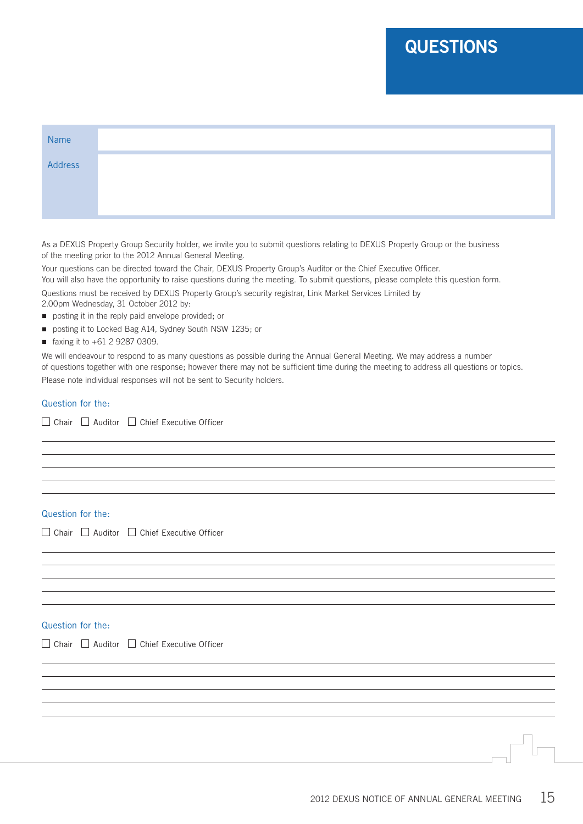# **QUESTIONS**

| Name    |  |  |  |
|---------|--|--|--|
| Address |  |  |  |
|         |  |  |  |
|         |  |  |  |

As a DEXUS Property Group Security holder, we invite you to submit questions relating to DEXUS Property Group or the business of the meeting prior to the 2012 Annual General Meeting.

Your questions can be directed toward the Chair, DEXUS Property Group's Auditor or the Chief Executive Officer. You will also have the opportunity to raise questions during the meeting. To submit questions, please complete this question form.

Questions must be received by DEXUS Property Group's security registrar, Link Market Services Limited by 2.00pm Wednesday, 31 October 2012 by:

- **n** posting it in the reply paid envelope provided; or
- posting it to Locked Bag A14, Sydney South NSW 1235; or
- faxing it to  $+61$  2 9287 0309.

We will endeavour to respond to as many questions as possible during the Annual General Meeting. We may address a number of questions together with one response; however there may not be sufficient time during the meeting to address all questions or topics. Please note individual responses will not be sent to Security holders.

# Question for the:

 $\Box$  Chair  $\Box$  Auditor  $\Box$  Chief Executive Officer

# Question for the:

 $\Box$  Chair  $\Box$  Auditor  $\Box$  Chief Executive Officer

# Question for the:

 $\Box$  Chair  $\Box$  Auditor  $\Box$  Chief Executive Officer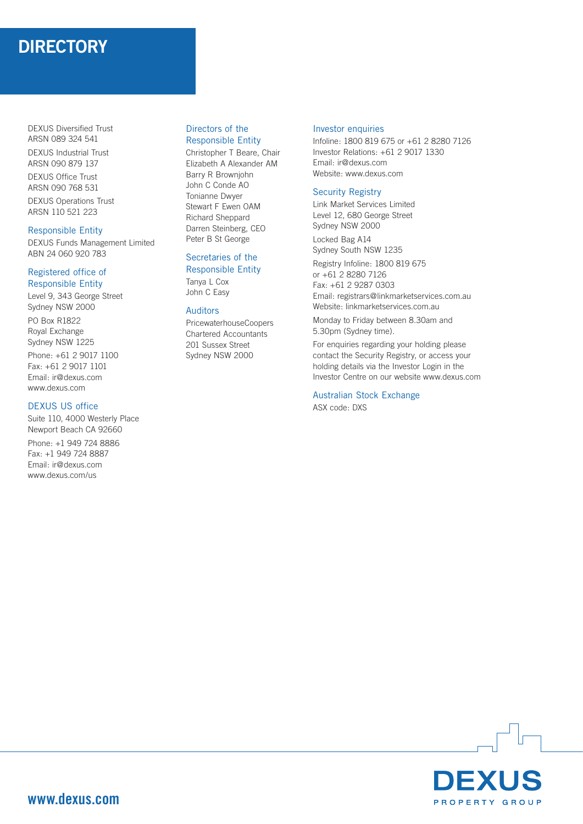# **DIRECTORY**

DEXUS Diversified Trust ARSN 089 324 541 DEXUS Industrial Trust ARSN 090 879 137 DEXUS Office Trust ARSN 090 768 531 DEXUS Operations Trust ARSN 110 521 223

# Responsible Entity

DEXUS Funds Management Limited ABN 24 060 920 783

# Registered office of Responsible Entity

Level 9, 343 George Street Sydney NSW 2000 PO Box R1822 Royal Exchange Sydney NSW 1225 Phone: +61 2 9017 1100 Fax: +61 2 9017 1101 Email: ir@dexus.com www.dexus.com

# DEXUS US office

Suite 110, 4000 Westerly Place Newport Beach CA 92660 Phone: +1 949 724 8886 Fax: +1 949 724 8887 Email: ir@dexus.com www.dexus.com/us

# Directors of the Responsible Entity

Christopher T Beare, Chair Elizabeth A Alexander AM Barry R Brownjohn John C Conde AO Tonianne Dwyer Stewart F Ewen OAM Richard Sheppard Darren Steinberg, CEO Peter B St George

#### Secretaries of the Responsible Entity

Tanya L Cox John C Easy

# Auditors

PricewaterhouseCoopers Chartered Accountants 201 Sussex Street Sydney NSW 2000

#### Investor enquiries

Infoline: 1800 819 675 or +61 2 8280 7126 Investor Relations: +61 2 9017 1330 Email: ir@dexus.com Website: www.dexus.com

# Security Registry

Link Market Services Limited Level 12, 680 George Street Sydney NSW 2000

Locked Bag A14 Sydney South NSW 1235

Registry Infoline: 1800 819 675 or +61 2 8280 7126 Fax: +61 2 9287 0303 Email: registrars@linkmarketservices.com.au Website: linkmarketservices.com.au

Monday to Friday between 8.30am and 5.30pm (Sydney time).

For enquiries regarding your holding please contact the Security Registry, or access your holding details via the Investor Login in the Investor Centre on our website www.dexus.com

Australian Stock Exchange ASX code: DXS

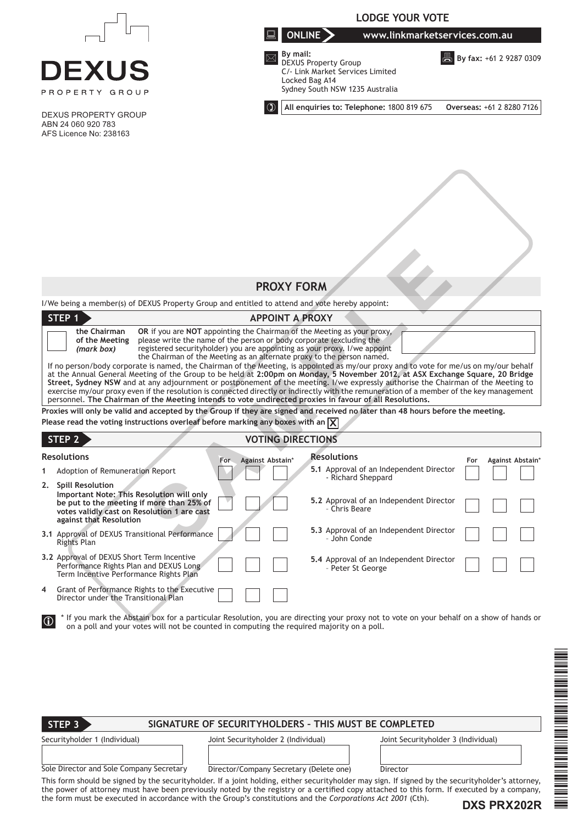|                                                                                                                                                                                                                                                                                                                                                                                                                                                                                                                                                                                                                                                                                                                                                                                                                                                                                                                                                                                                                                                                                                                                                                                                                                                          | <b>LODGE YOUR VOTE</b>                                                                                                                                               |  |  |  |
|----------------------------------------------------------------------------------------------------------------------------------------------------------------------------------------------------------------------------------------------------------------------------------------------------------------------------------------------------------------------------------------------------------------------------------------------------------------------------------------------------------------------------------------------------------------------------------------------------------------------------------------------------------------------------------------------------------------------------------------------------------------------------------------------------------------------------------------------------------------------------------------------------------------------------------------------------------------------------------------------------------------------------------------------------------------------------------------------------------------------------------------------------------------------------------------------------------------------------------------------------------|----------------------------------------------------------------------------------------------------------------------------------------------------------------------|--|--|--|
|                                                                                                                                                                                                                                                                                                                                                                                                                                                                                                                                                                                                                                                                                                                                                                                                                                                                                                                                                                                                                                                                                                                                                                                                                                                          | ONLINE<br>www.linkmarketservices.com.au                                                                                                                              |  |  |  |
| <b>DEXUS</b><br>PROPERTY GROUP                                                                                                                                                                                                                                                                                                                                                                                                                                                                                                                                                                                                                                                                                                                                                                                                                                                                                                                                                                                                                                                                                                                                                                                                                           | By mail:<br><b>图</b> By fax: +61 2 9287 0309<br><b>DEXUS Property Group</b><br>C/- Link Market Services Limited<br>Locked Bag A14<br>Sydney South NSW 1235 Australia |  |  |  |
| $\mathbf{C}$<br><b>DEXUS PROPERTY GROUP</b><br>ABN 24 060 920 783<br>AFS Licence No: 238163                                                                                                                                                                                                                                                                                                                                                                                                                                                                                                                                                                                                                                                                                                                                                                                                                                                                                                                                                                                                                                                                                                                                                              | Overseas: +61 2 8280 7126<br>All enquiries to: Telephone: 1800 819 675                                                                                               |  |  |  |
|                                                                                                                                                                                                                                                                                                                                                                                                                                                                                                                                                                                                                                                                                                                                                                                                                                                                                                                                                                                                                                                                                                                                                                                                                                                          |                                                                                                                                                                      |  |  |  |
|                                                                                                                                                                                                                                                                                                                                                                                                                                                                                                                                                                                                                                                                                                                                                                                                                                                                                                                                                                                                                                                                                                                                                                                                                                                          | <b>PROXY FORM</b>                                                                                                                                                    |  |  |  |
| I/We being a member(s) of DEXUS Property Group and entitled to attend and vote hereby appoint:<br>STEP <sub>1</sub>                                                                                                                                                                                                                                                                                                                                                                                                                                                                                                                                                                                                                                                                                                                                                                                                                                                                                                                                                                                                                                                                                                                                      | <b>APPOINT A PROXY</b>                                                                                                                                               |  |  |  |
| the Chairman<br>OR if you are NOT appointing the Chairman of the Meeting as your proxy,<br>please write the name of the person or body corporate (excluding the<br>of the Meeting<br>registered securityholder) you are appointing as your proxy. I/we appoint<br>(mark box)<br>the Chairman of the Meeting as an alternate proxy to the person named.<br>If no person/body corporate is named, the Chairman of the Meeting, is appointed as my/our proxy and to vote for me/us on my/our behalf<br>at the Annual General Meeting of the Group to be held at 2:00pm on Monday, 5 November 2012, at ASX Exchange Square, 20 Bridge<br>Street, Sydney NSW and at any adjournment or postponement of the meeting. I/we expressly authorise the Chairman of the Meeting to<br>exercise my/our proxy even if the resolution is connected directly or indirectly with the remuneration of a member of the key management<br>personnel. The Chairman of the Meeting intends to vote undirected proxies in favour of all Resolutions.<br>Proxies will only be valid and accepted by the Group if they are signed and received no later than 48 hours before the meeting.<br>Please read the voting instructions overleaf before marking any boxes with an $\chi$ |                                                                                                                                                                      |  |  |  |
| STEP 2                                                                                                                                                                                                                                                                                                                                                                                                                                                                                                                                                                                                                                                                                                                                                                                                                                                                                                                                                                                                                                                                                                                                                                                                                                                   | <b>VOTING DIRECTIONS</b>                                                                                                                                             |  |  |  |
| <b>Resolutions</b><br>Against Abstain*<br>For-                                                                                                                                                                                                                                                                                                                                                                                                                                                                                                                                                                                                                                                                                                                                                                                                                                                                                                                                                                                                                                                                                                                                                                                                           | <b>Resolutions</b><br>For<br>Against Abstain*                                                                                                                        |  |  |  |
| Adoption of Remuneration Report<br>1.                                                                                                                                                                                                                                                                                                                                                                                                                                                                                                                                                                                                                                                                                                                                                                                                                                                                                                                                                                                                                                                                                                                                                                                                                    | 5.1 Approval of an Independent Director<br>- Richard Sheppard                                                                                                        |  |  |  |
| <b>Spill Resolution</b><br>2.<br>Important Note: This Resolution will only<br>be put to the meeting if more than 25% of<br>votes validly cast on Resolution 1 are cast<br>against that Resolution                                                                                                                                                                                                                                                                                                                                                                                                                                                                                                                                                                                                                                                                                                                                                                                                                                                                                                                                                                                                                                                        | 5.2 Approval of an Independent Director<br>- Chris Beare                                                                                                             |  |  |  |
| 3.1 Approval of DEXUS Transitional Performance<br><b>Rights Plan</b>                                                                                                                                                                                                                                                                                                                                                                                                                                                                                                                                                                                                                                                                                                                                                                                                                                                                                                                                                                                                                                                                                                                                                                                     | 5.3 Approval of an Independent Director<br>- John Conde                                                                                                              |  |  |  |
| 3.2 Approval of DEXUS Short Term Incentive<br>Performance Rights Plan and DEXUS Long<br>Term Incentive Performance Rights Plan                                                                                                                                                                                                                                                                                                                                                                                                                                                                                                                                                                                                                                                                                                                                                                                                                                                                                                                                                                                                                                                                                                                           | 5.4 Approval of an Independent Director<br>- Peter St George                                                                                                         |  |  |  |
| Grant of Performance Rights to the Executive<br>4<br>Director under the Transitional Plan                                                                                                                                                                                                                                                                                                                                                                                                                                                                                                                                                                                                                                                                                                                                                                                                                                                                                                                                                                                                                                                                                                                                                                |                                                                                                                                                                      |  |  |  |
| * If you mark the Abstain box for a particular Resolution, you are directing your proxy not to vote on your behalf on a show of hands or<br>$  0 \rangle$<br>on a poll and your votes will not be counted in computing the required majority on a poll.<br>SIGNATURE OF SECURITYHOLDERS - THIS MUST BE COMPLETED<br>STEP <sub>3</sub>                                                                                                                                                                                                                                                                                                                                                                                                                                                                                                                                                                                                                                                                                                                                                                                                                                                                                                                    |                                                                                                                                                                      |  |  |  |
| Securityholder 1 (Individual)<br>Joint Securityholder 2 (Individual)                                                                                                                                                                                                                                                                                                                                                                                                                                                                                                                                                                                                                                                                                                                                                                                                                                                                                                                                                                                                                                                                                                                                                                                     | Joint Securityholder 3 (Individual)                                                                                                                                  |  |  |  |
|                                                                                                                                                                                                                                                                                                                                                                                                                                                                                                                                                                                                                                                                                                                                                                                                                                                                                                                                                                                                                                                                                                                                                                                                                                                          |                                                                                                                                                                      |  |  |  |

This form should be signed by the securityholder. If a joint holding, either securityholder may sign. If signed by the securityholder's attorney, the power of attorney must have been previously noted by the registry or a certified copy attached to this form. If executed by a company, the form must be executed in accordance with the Group's constitutions and the *Corporations Act 2001* (Cth). Sole Director and Sole Company Secretary Director/Company Secretary (Delete one) Director

\*DX PRX202\*DX PRX202\*DX PRX202\*DX

**THE REPORT OF A REAL PROPERTY AND A**